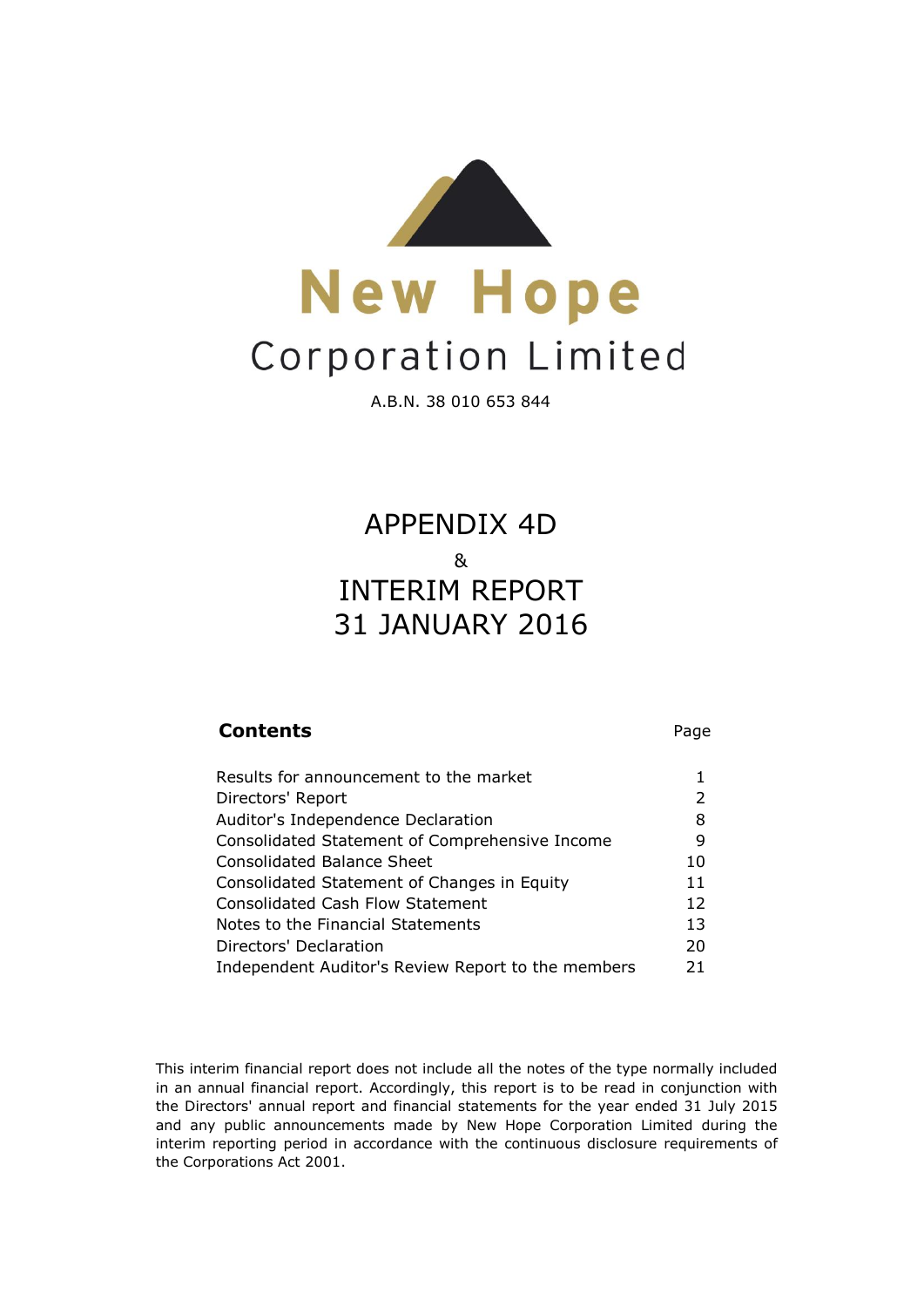

A.B.N. 38 010 653 844

## 31 JANUARY 2016 APPENDIX 4D & INTERIM REPORT

### **Contents** Page Results for announcement to the market 1 Directors' Report 2 Auditor's Independence Declaration 8 Consolidated Statement of Comprehensive Income 9 Consolidated Balance Sheet 10 Consolidated Statement of Changes in Equity 11 Consolidated Cash Flow Statement 12 Notes to the Financial Statements 13 Directors' Declaration 20 Independent Auditor's Review Report to the members 21

This interim financial report does not include all the notes of the type normally included in an annual financial report. Accordingly, this report is to be read in conjunction with the Directors' annual report and financial statements for the year ended 31 July 2015 and any public announcements made by New Hope Corporation Limited during the interim reporting period in accordance with the continuous disclosure requirements of the Corporations Act 2001.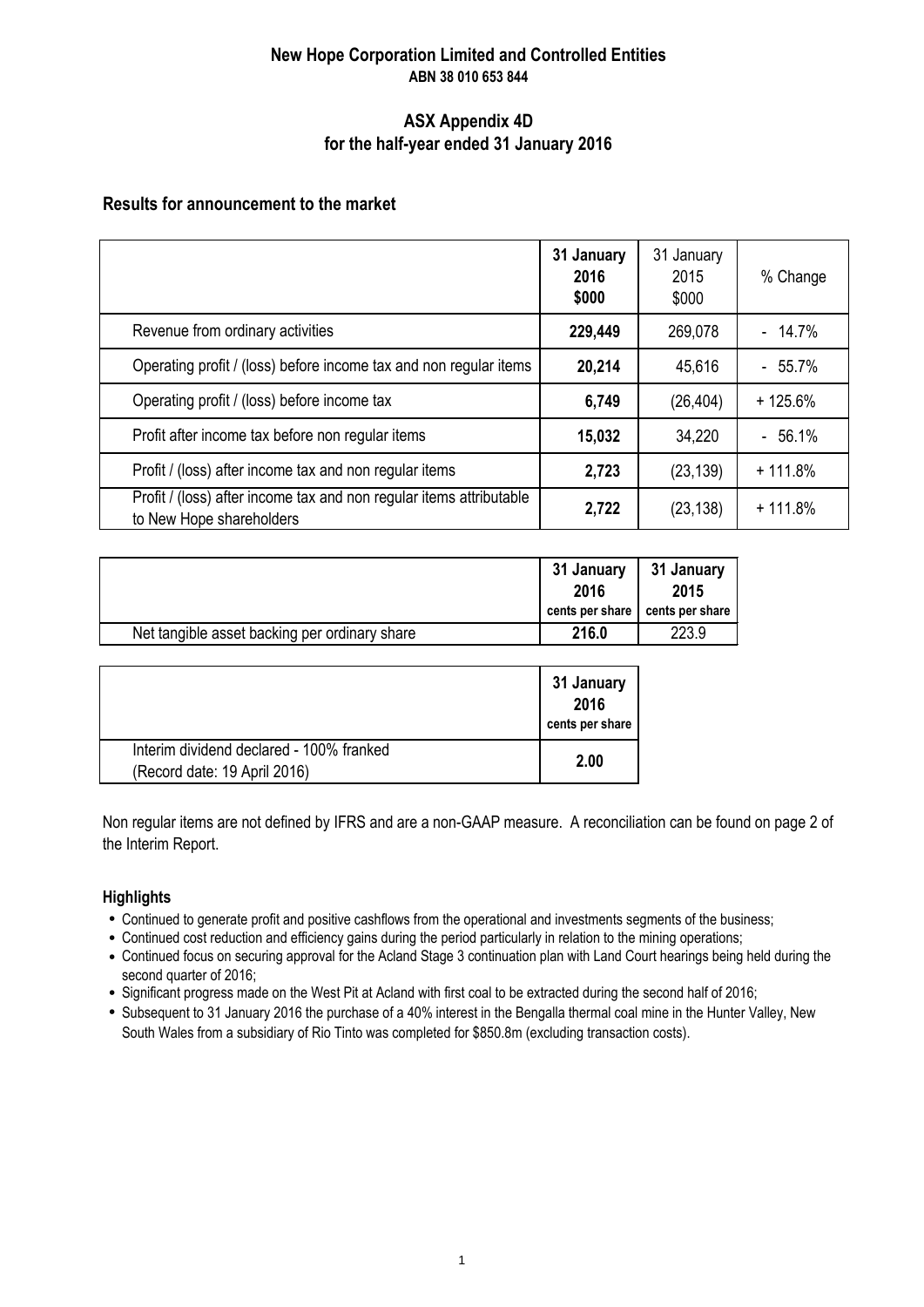### **New Hope Corporation Limited and Controlled Entities ABN 38 010 653 844**

### **ASX Appendix 4D for the half-year ended 31 January 2016**

### **Results for announcement to the market**

|                                                                                                 | 31 January<br>2016<br>\$000 | 31 January<br>2015<br>\$000 | % Change  |
|-------------------------------------------------------------------------------------------------|-----------------------------|-----------------------------|-----------|
| Revenue from ordinary activities                                                                | 229,449                     | 269,078                     | $-14.7%$  |
| Operating profit / (loss) before income tax and non regular items                               | 20,214                      | 45,616                      | $-55.7%$  |
| Operating profit / (loss) before income tax                                                     | 6,749                       | (26, 404)                   | $+125.6%$ |
| Profit after income tax before non regular items                                                | 15,032                      | 34,220                      | $-56.1%$  |
| Profit / (loss) after income tax and non regular items                                          | 2,723                       | (23, 139)                   | $+111.8%$ |
| Profit / (loss) after income tax and non regular items attributable<br>to New Hope shareholders | 2,722                       | (23, 138)                   | $+111.8%$ |

|                                               | 31 January<br>31 January<br>2015<br>2016 |                 |
|-----------------------------------------------|------------------------------------------|-----------------|
|                                               | cents per share                          | cents per share |
| Net tangible asset backing per ordinary share | 216.0                                    | 223.9           |

|                                                                          | 31 January<br>2016<br>cents per share |
|--------------------------------------------------------------------------|---------------------------------------|
| Interim dividend declared - 100% franked<br>(Record date: 19 April 2016) | 2.00                                  |

Non regular items are not defined by IFRS and are a non-GAAP measure. A reconciliation can be found on page 2 of the Interim Report.

### **Highlights**

- Continued to generate profit and positive cashflows from the operational and investments segments of the business;
- Continued cost reduction and efficiency gains during the period particularly in relation to the mining operations;
- Continued focus on securing approval for the Acland Stage 3 continuation plan with Land Court hearings being held during the second quarter of 2016;
- Significant progress made on the West Pit at Acland with first coal to be extracted during the second half of 2016;
- Subsequent to 31 January 2016 the purchase of a 40% interest in the Bengalla thermal coal mine in the Hunter Valley, New South Wales from a subsidiary of Rio Tinto was completed for \$850.8m (excluding transaction costs).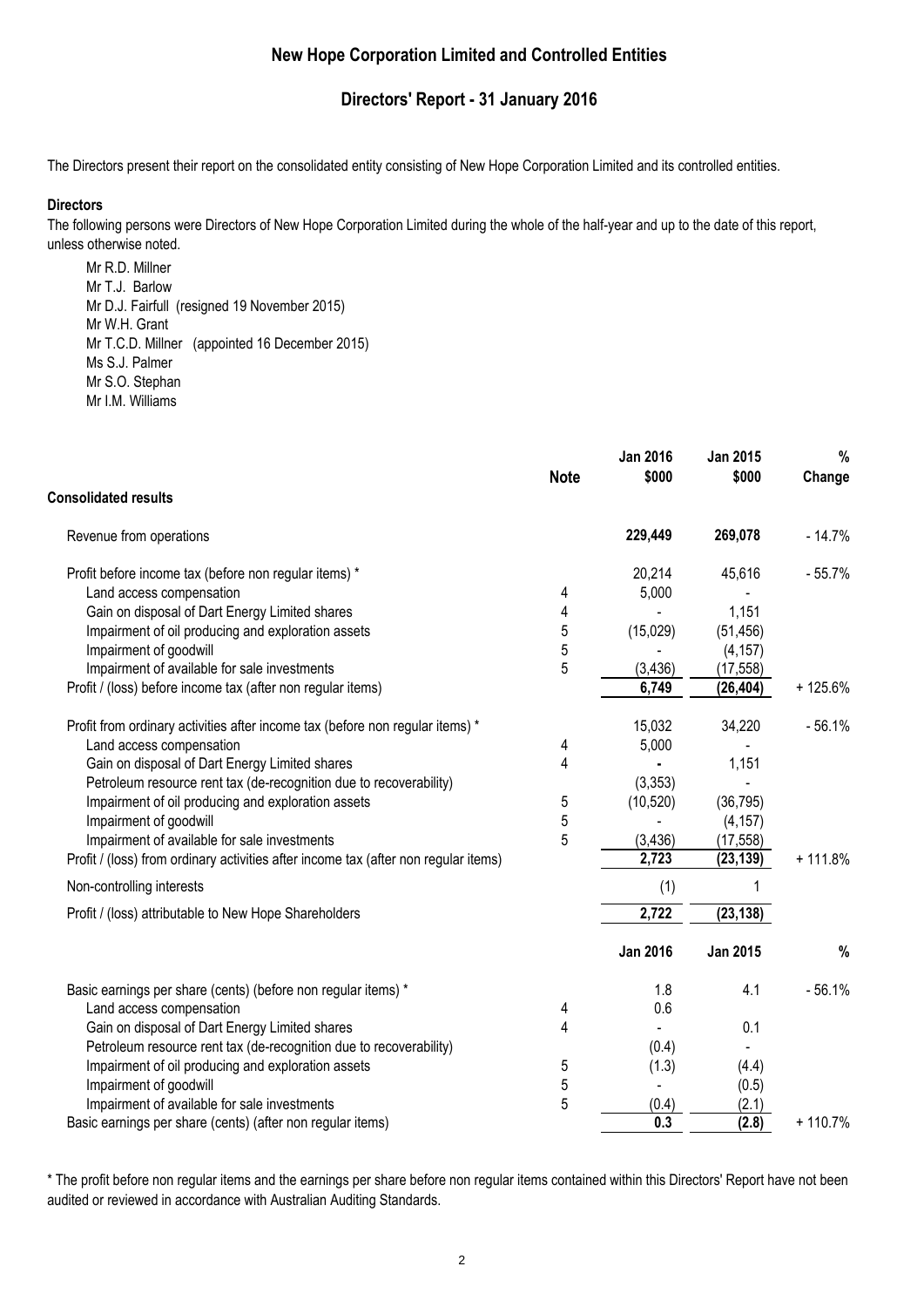### **Directors' Report - 31 January 2016**

The Directors present their report on the consolidated entity consisting of New Hope Corporation Limited and its controlled entities.

#### **Directors**

The following persons were Directors of New Hope Corporation Limited during the whole of the half-year and up to the date of this report, unless otherwise noted.

Mr R.D. Millner Mr T.J. Barlow Mr D.J. Fairfull (resigned 19 November 2015) Mr W.H. Grant Mr T.C.D. Millner (appointed 16 December 2015) Ms S.J. Palmer Mr S.O. Stephan Mr I.M. Williams

|                                                                                     | <b>Note</b> | <b>Jan 2016</b><br>\$000 | Jan 2015<br>\$000 | %<br>Change |
|-------------------------------------------------------------------------------------|-------------|--------------------------|-------------------|-------------|
| <b>Consolidated results</b>                                                         |             |                          |                   |             |
| Revenue from operations                                                             |             | 229,449                  | 269,078           | $-14.7%$    |
| Profit before income tax (before non regular items) *                               |             | 20,214                   | 45,616            | $-55.7%$    |
| Land access compensation                                                            | 4           | 5,000                    |                   |             |
| Gain on disposal of Dart Energy Limited shares                                      | 4           |                          | 1,151             |             |
| Impairment of oil producing and exploration assets                                  | 5           | (15,029)                 | (51, 456)         |             |
| Impairment of goodwill                                                              | 5           |                          | (4, 157)          |             |
| Impairment of available for sale investments                                        | 5           | (3, 436)                 | (17, 558)         |             |
| Profit / (loss) before income tax (after non regular items)                         |             | 6,749                    | (26, 404)         | $+125.6%$   |
| Profit from ordinary activities after income tax (before non regular items) *       |             | 15,032                   | 34,220            | $-56.1%$    |
| Land access compensation                                                            | 4           | 5,000                    |                   |             |
| Gain on disposal of Dart Energy Limited shares                                      | 4           |                          | 1,151             |             |
| Petroleum resource rent tax (de-recognition due to recoverability)                  |             | (3, 353)                 |                   |             |
| Impairment of oil producing and exploration assets                                  | 5           | (10, 520)                | (36, 795)         |             |
| Impairment of goodwill                                                              | 5           |                          | (4, 157)          |             |
| Impairment of available for sale investments                                        | 5           | (3, 436)                 | (17, 558)         |             |
| Profit / (loss) from ordinary activities after income tax (after non regular items) |             | 2,723                    | (23, 139)         | $+111.8%$   |
| Non-controlling interests                                                           |             | (1)                      |                   |             |
| Profit / (loss) attributable to New Hope Shareholders                               |             | 2,722                    | (23, 138)         |             |
|                                                                                     |             | <b>Jan 2016</b>          | <b>Jan 2015</b>   | %           |
| Basic earnings per share (cents) (before non regular items) *                       |             | 1.8                      | 4.1               | $-56.1%$    |
| Land access compensation                                                            | 4           | 0.6                      |                   |             |
| Gain on disposal of Dart Energy Limited shares                                      | 4           |                          | 0.1               |             |
| Petroleum resource rent tax (de-recognition due to recoverability)                  |             | (0.4)                    |                   |             |
| Impairment of oil producing and exploration assets                                  | 5           | (1.3)                    | (4.4)             |             |
| Impairment of goodwill                                                              | 5           |                          | (0.5)             |             |
| Impairment of available for sale investments                                        | 5           | (0.4)                    | (2.1)             |             |
| Basic earnings per share (cents) (after non regular items)                          |             | 0.3                      | (2.8)             | $+110.7%$   |

\* The profit before non regular items and the earnings per share before non regular items contained within this Directors' Report have not been audited or reviewed in accordance with Australian Auditing Standards.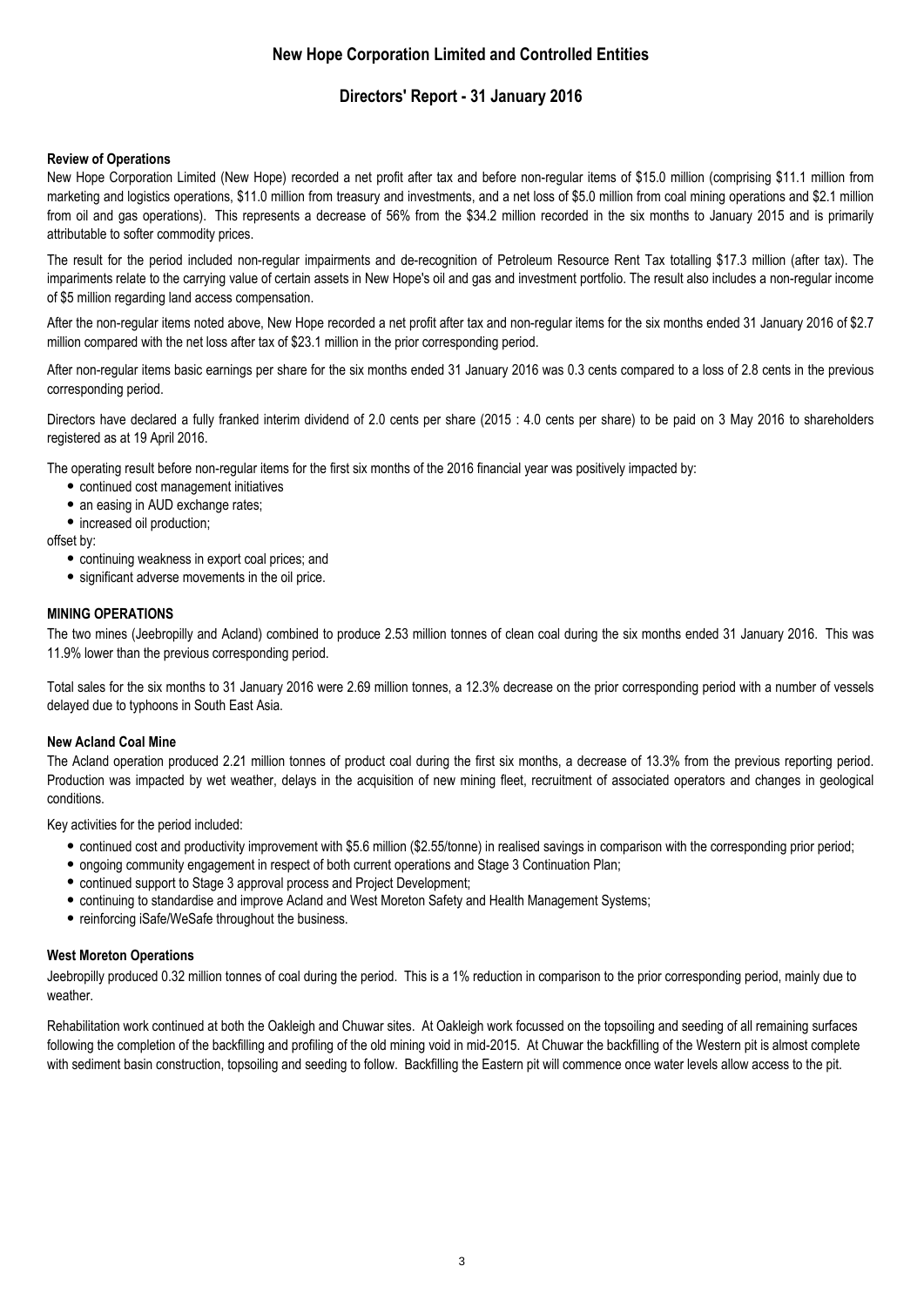### **Directors' Report - 31 January 2016**

#### **Review of Operations**

New Hope Corporation Limited (New Hope) recorded a net profit after tax and before non-regular items of \$15.0 million (comprising \$11.1 million from marketing and logistics operations, \$11.0 million from treasury and investments, and a net loss of \$5.0 million from coal mining operations and \$2.1 million from oil and gas operations). This represents a decrease of 56% from the \$34.2 million recorded in the six months to January 2015 and is primarily attributable to softer commodity prices.

The result for the period included non-regular impairments and de-recognition of Petroleum Resource Rent Tax totalling \$17.3 million (after tax). The impariments relate to the carrying value of certain assets in New Hope's oil and gas and investment portfolio. The result also includes a non-regular income of \$5 million regarding land access compensation.

After the non-regular items noted above, New Hope recorded a net profit after tax and non-regular items for the six months ended 31 January 2016 of \$2.7 million compared with the net loss after tax of \$23.1 million in the prior corresponding period.

After non-regular items basic earnings per share for the six months ended 31 January 2016 was 0.3 cents compared to a loss of 2.8 cents in the previous corresponding period.

Directors have declared a fully franked interim dividend of 2.0 cents per share (2015 : 4.0 cents per share) to be paid on 3 May 2016 to shareholders registered as at 19 April 2016.

The operating result before non-regular items for the first six months of the 2016 financial year was positively impacted by:

- continued cost management initiatives
- an easing in AUD exchange rates;
- increased oil production:

offset by:

- continuing weakness in export coal prices; and
- significant adverse movements in the oil price.

#### **MINING OPERATIONS**

The two mines (Jeebropilly and Acland) combined to produce 2.53 million tonnes of clean coal during the six months ended 31 January 2016. This was 11.9% lower than the previous corresponding period.

Total sales for the six months to 31 January 2016 were 2.69 million tonnes, a 12.3% decrease on the prior corresponding period with a number of vessels delayed due to typhoons in South East Asia.

#### **New Acland Coal Mine**

The Acland operation produced 2.21 million tonnes of product coal during the first six months, a decrease of 13.3% from the previous reporting period. Production was impacted by wet weather, delays in the acquisition of new mining fleet, recruitment of associated operators and changes in geological conditions.

Key activities for the period included:

- continued cost and productivity improvement with \$5.6 million (\$2.55/tonne) in realised savings in comparison with the corresponding prior period;
- ongoing community engagement in respect of both current operations and Stage 3 Continuation Plan;
- continued support to Stage 3 approval process and Project Development;
- continuing to standardise and improve Acland and West Moreton Safety and Health Management Systems;
- reinforcing iSafe/WeSafe throughout the business.

#### **West Moreton Operations**

Jeebropilly produced 0.32 million tonnes of coal during the period. This is a 1% reduction in comparison to the prior corresponding period, mainly due to weather.

Rehabilitation work continued at both the Oakleigh and Chuwar sites. At Oakleigh work focussed on the topsoiling and seeding of all remaining surfaces following the completion of the backfilling and profiling of the old mining void in mid-2015. At Chuwar the backfilling of the Western pit is almost complete with sediment basin construction, topsoiling and seeding to follow. Backfilling the Eastern pit will commence once water levels allow access to the pit.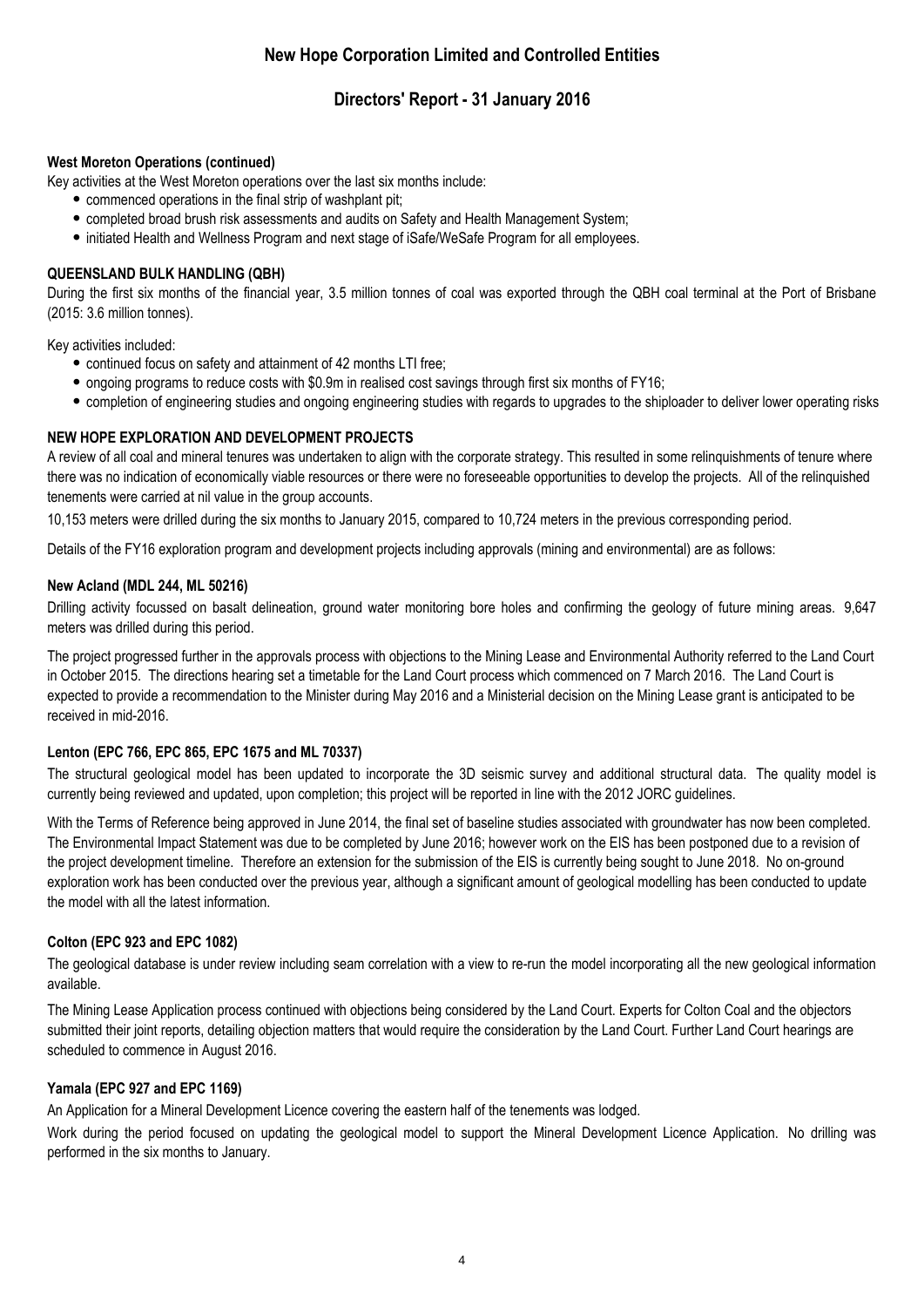### **Directors' Report - 31 January 2016**

#### **West Moreton Operations (continued)**

Key activities at the West Moreton operations over the last six months include:

- $\bullet$  commenced operations in the final strip of washplant pit;
- completed broad brush risk assessments and audits on Safety and Health Management System;
- initiated Health and Wellness Program and next stage of iSafe/WeSafe Program for all employees.

#### **QUEENSLAND BULK HANDLING (QBH)**

During the first six months of the financial year, 3.5 million tonnes of coal was exported through the QBH coal terminal at the Port of Brisbane (2015: 3.6 million tonnes).

Key activities included:

- continued focus on safety and attainment of 42 months LTI free;
- ongoing programs to reduce costs with \$0.9m in realised cost savings through first six months of FY16;
- completion of engineering studies and ongoing engineering studies with regards to upgrades to the shiploader to deliver lower operating risks.

#### **NEW HOPE EXPLORATION AND DEVELOPMENT PROJECTS**

A review of all coal and mineral tenures was undertaken to align with the corporate strategy. This resulted in some relinquishments of tenure where there was no indication of economically viable resources or there were no foreseeable opportunities to develop the projects. All of the relinquished tenements were carried at nil value in the group accounts.

10,153 meters were drilled during the six months to January 2015, compared to 10,724 meters in the previous corresponding period.

Details of the FY16 exploration program and development projects including approvals (mining and environmental) are as follows:

#### **New Acland (MDL 244, ML 50216)**

Drilling activity focussed on basalt delineation, ground water monitoring bore holes and confirming the geology of future mining areas. 9,647 meters was drilled during this period.

The project progressed further in the approvals process with objections to the Mining Lease and Environmental Authority referred to the Land Court in October 2015. The directions hearing set a timetable for the Land Court process which commenced on 7 March 2016. The Land Court is expected to provide a recommendation to the Minister during May 2016 and a Ministerial decision on the Mining Lease grant is anticipated to be received in mid-2016.

#### **Lenton (EPC 766, EPC 865, EPC 1675 and ML 70337)**

The structural geological model has been updated to incorporate the 3D seismic survey and additional structural data. The quality model is currently being reviewed and updated, upon completion; this project will be reported in line with the 2012 JORC guidelines.

With the Terms of Reference being approved in June 2014, the final set of baseline studies associated with groundwater has now been completed. The Environmental Impact Statement was due to be completed by June 2016; however work on the EIS has been postponed due to a revision of the project development timeline. Therefore an extension for the submission of the EIS is currently being sought to June 2018. No on-ground exploration work has been conducted over the previous year, although a significant amount of geological modelling has been conducted to update the model with all the latest information.

#### **Colton (EPC 923 and EPC 1082)**

The geological database is under review including seam correlation with a view to re-run the model incorporating all the new geological information available.

The Mining Lease Application process continued with objections being considered by the Land Court. Experts for Colton Coal and the objectors submitted their joint reports, detailing objection matters that would require the consideration by the Land Court. Further Land Court hearings are scheduled to commence in August 2016.

#### **Yamala (EPC 927 and EPC 1169)**

An Application for a Mineral Development Licence covering the eastern half of the tenements was lodged.

Work during the period focused on updating the geological model to support the Mineral Development Licence Application. No drilling was performed in the six months to January.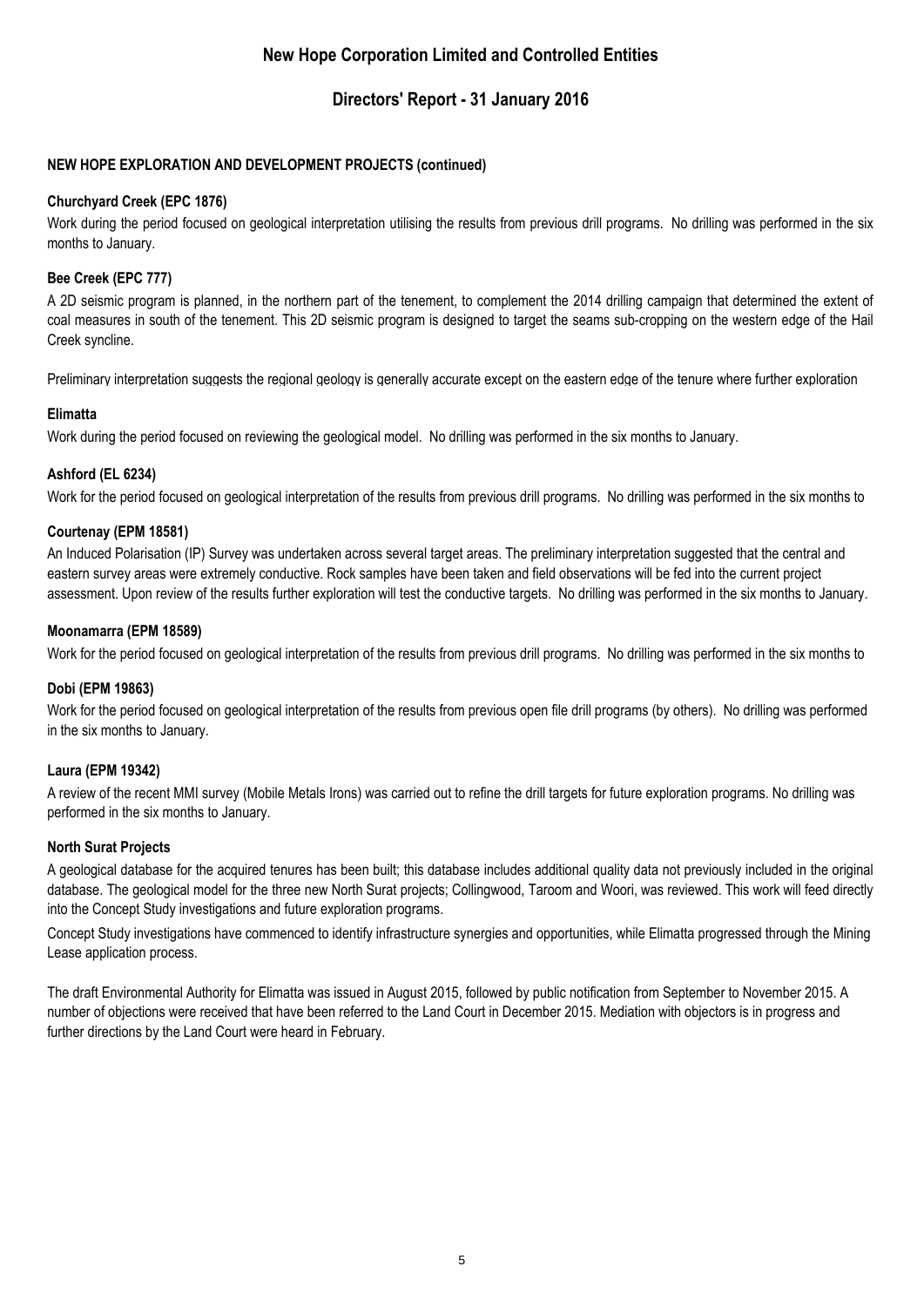### **Directors' Report - 31 January 2016**

### **NEW HOPE EXPLORATION AND DEVELOPMENT PROJECTS (continued)**

#### **Churchyard Creek (EPC 1876)**

Work during the period focused on geological interpretation utilising the results from previous drill programs. No drilling was performed in the six months to January.

### **Bee Creek (EPC 777)**

A 2D seismic program is planned, in the northern part of the tenement, to complement the 2014 drilling campaign that determined the extent of coal measures in south of the tenement. This 2D seismic program is designed to target the seams sub-cropping on the western edge of the Hail Creek syncline.

Preliminary interpretation suggests the regional geology is generally accurate except on the eastern edge of the tenure where further exploration

### **Elimatta**

Work during the period focused on reviewing the geological model. No drilling was performed in the six months to January.

### **Ashford (EL 6234)**

Work for the period focused on geological interpretation of the results from previous drill programs. No drilling was performed in the six months to

#### **Courtenay (EPM 18581)**

An Induced Polarisation (IP) Survey was undertaken across several target areas. The preliminary interpretation suggested that the central and eastern survey areas were extremely conductive. Rock samples have been taken and field observations will be fed into the current project assessment. Upon review of the results further exploration will test the conductive targets. No drilling was performed in the six months to January.

#### **Moonamarra (EPM 18589)**

Work for the period focused on geological interpretation of the results from previous drill programs. No drilling was performed in the six months to

#### **Dobi (EPM 19863)**

Work for the period focused on geological interpretation of the results from previous open file drill programs (by others). No drilling was performed in the six months to January.

#### **Laura (EPM 19342)**

A review of the recent MMI survey (Mobile Metals Irons) was carried out to refine the drill targets for future exploration programs. No drilling was performed in the six months to January.

#### **North Surat Projects**

A geological database for the acquired tenures has been built; this database includes additional quality data not previously included in the original database. The geological model for the three new North Surat projects; Collingwood, Taroom and Woori, was reviewed. This work will feed directly into the Concept Study investigations and future exploration programs.

Concept Study investigations have commenced to identify infrastructure synergies and opportunities, while Elimatta progressed through the Mining Lease application process.

The draft Environmental Authority for Elimatta was issued in August 2015, followed by public notification from September to November 2015. A number of objections were received that have been referred to the Land Court in December 2015. Mediation with objectors is in progress and further directions by the Land Court were heard in February.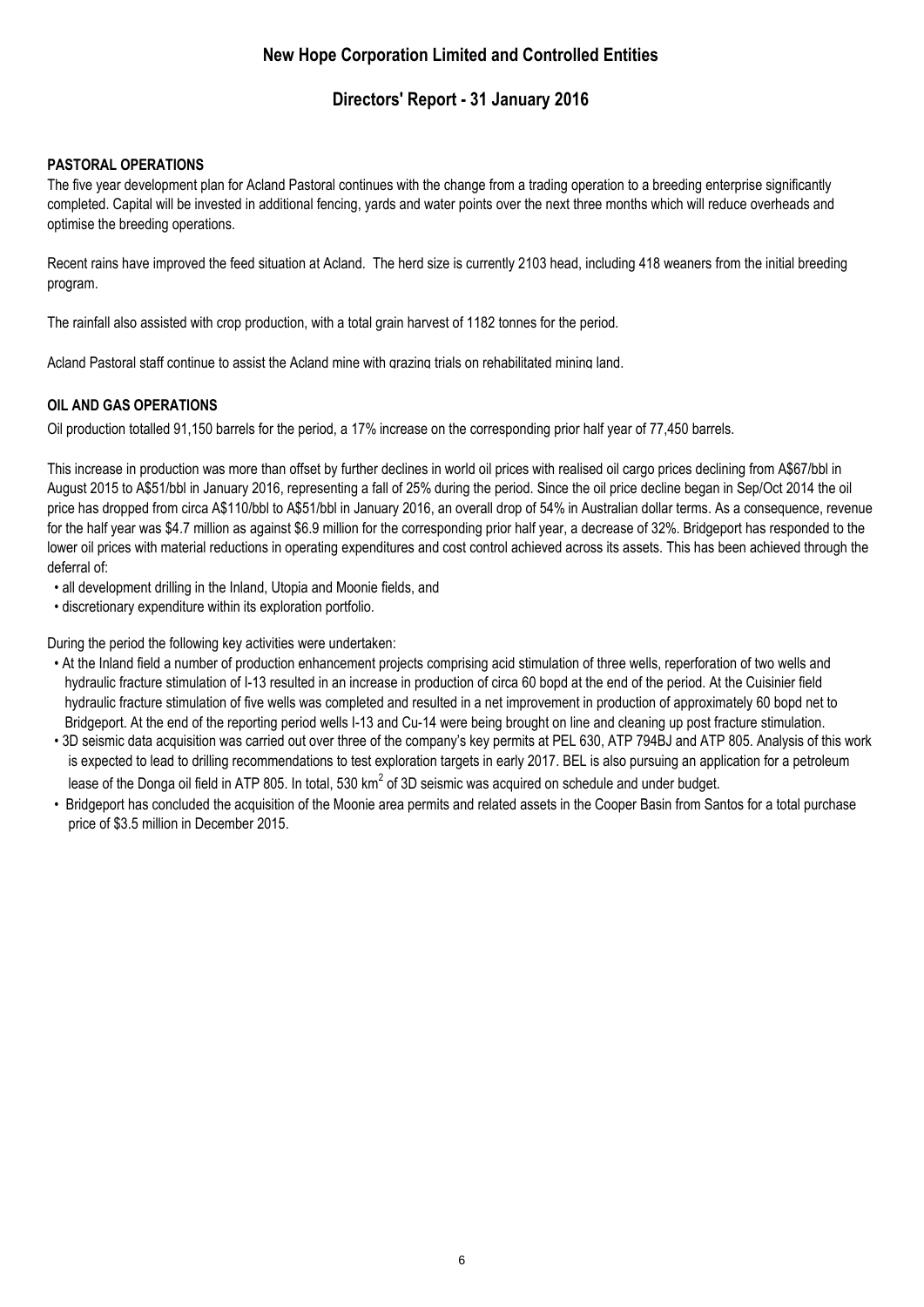### **Directors' Report - 31 January 2016**

### **PASTORAL OPERATIONS**

The five year development plan for Acland Pastoral continues with the change from a trading operation to a breeding enterprise significantly completed. Capital will be invested in additional fencing, yards and water points over the next three months which will reduce overheads and optimise the breeding operations.

Recent rains have improved the feed situation at Acland. The herd size is currently 2103 head, including 418 weaners from the initial breeding program.

The rainfall also assisted with crop production, with a total grain harvest of 1182 tonnes for the period.

Acland Pastoral staff continue to assist the Acland mine with grazing trials on rehabilitated mining land.

### **OIL AND GAS OPERATIONS**

Oil production totalled 91,150 barrels for the period, a 17% increase on the corresponding prior half year of 77,450 barrels.

This increase in production was more than offset by further declines in world oil prices with realised oil cargo prices declining from A\$67/bbl in August 2015 to A\$51/bbl in January 2016, representing a fall of 25% during the period. Since the oil price decline began in Sep/Oct 2014 the oil price has dropped from circa A\$110/bbl to A\$51/bbl in January 2016, an overall drop of 54% in Australian dollar terms. As a consequence, revenue for the half year was \$4.7 million as against \$6.9 million for the corresponding prior half year, a decrease of 32%. Bridgeport has responded to the lower oil prices with material reductions in operating expenditures and cost control achieved across its assets. This has been achieved through the deferral of:

- all development drilling in the Inland, Utopia and Moonie fields, and
- discretionary expenditure within its exploration portfolio.

During the period the following key activities were undertaken:

- At the Inland field a number of production enhancement projects comprising acid stimulation of three wells, reperforation of two wells and hydraulic fracture stimulation of I-13 resulted in an increase in production of circa 60 bopd at the end of the period. At the Cuisinier field hydraulic fracture stimulation of five wells was completed and resulted in a net improvement in production of approximately 60 bopd net to Bridgeport. At the end of the reporting period wells I-13 and Cu-14 were being brought on line and cleaning up post fracture stimulation.
- 3D seismic data acquisition was carried out over three of the company's key permits at PEL 630, ATP 794BJ and ATP 805. Analysis of this work is expected to lead to drilling recommendations to test exploration targets in early 2017. BEL is also pursuing an application for a petroleum lease of the Donga oil field in ATP 805. In total, 530 km<sup>2</sup> of 3D seismic was acquired on schedule and under budget.
- Bridgeport has concluded the acquisition of the Moonie area permits and related assets in the Cooper Basin from Santos for a total purchase price of \$3.5 million in December 2015.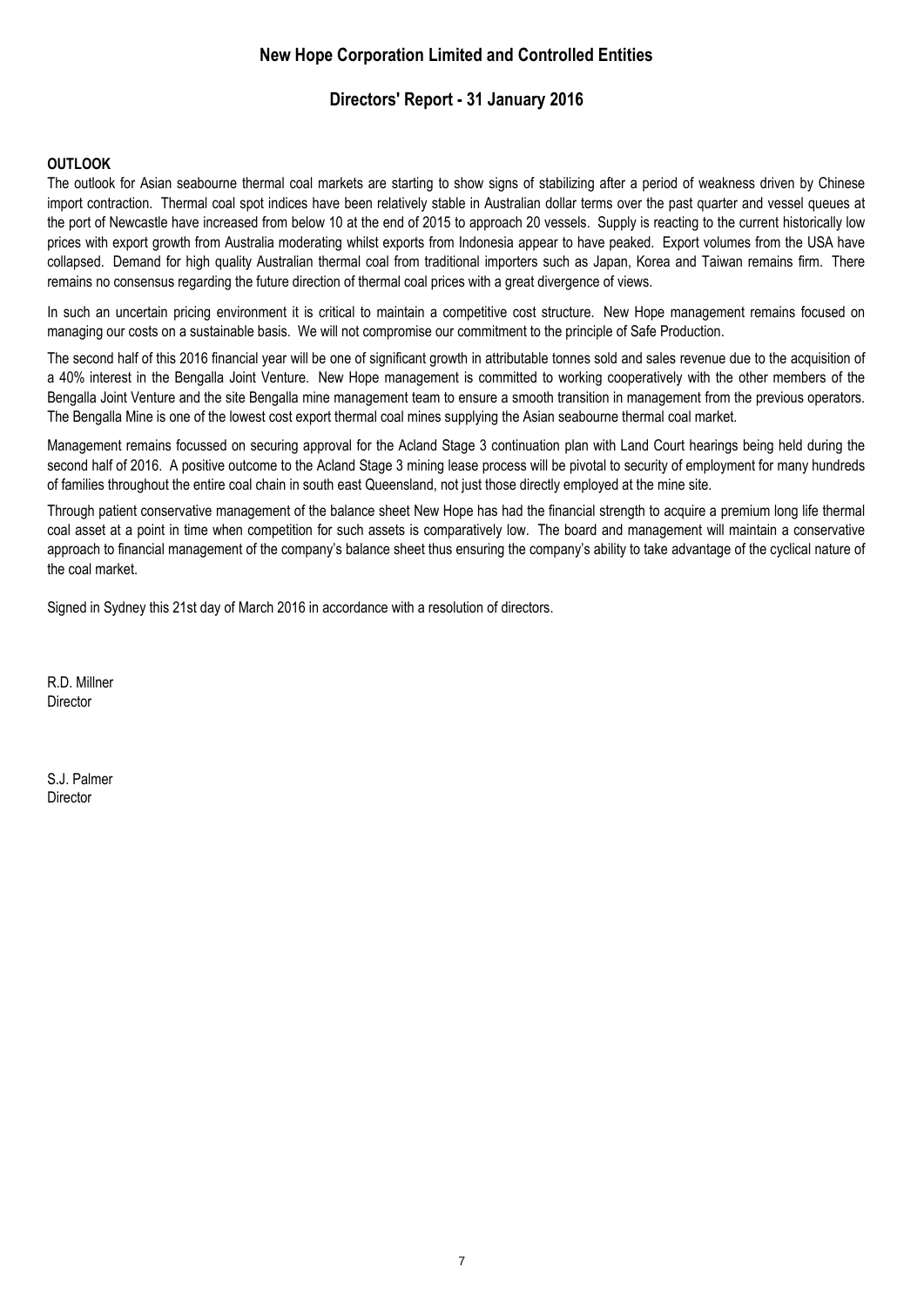### **Directors' Report - 31 January 2016**

#### **OUTLOOK**

The outlook for Asian seabourne thermal coal markets are starting to show signs of stabilizing after a period of weakness driven by Chinese import contraction. Thermal coal spot indices have been relatively stable in Australian dollar terms over the past quarter and vessel queues at the port of Newcastle have increased from below 10 at the end of 2015 to approach 20 vessels. Supply is reacting to the current historically low prices with export growth from Australia moderating whilst exports from Indonesia appear to have peaked. Export volumes from the USA have collapsed. Demand for high quality Australian thermal coal from traditional importers such as Japan, Korea and Taiwan remains firm. There remains no consensus regarding the future direction of thermal coal prices with a great divergence of views.

In such an uncertain pricing environment it is critical to maintain a competitive cost structure. New Hope management remains focused on managing our costs on a sustainable basis. We will not compromise our commitment to the principle of Safe Production.

The second half of this 2016 financial year will be one of significant growth in attributable tonnes sold and sales revenue due to the acquisition of a 40% interest in the Bengalla Joint Venture. New Hope management is committed to working cooperatively with the other members of the Bengalla Joint Venture and the site Bengalla mine management team to ensure a smooth transition in management from the previous operators. The Bengalla Mine is one of the lowest cost export thermal coal mines supplying the Asian seabourne thermal coal market.

Management remains focussed on securing approval for the Acland Stage 3 continuation plan with Land Court hearings being held during the second half of 2016. A positive outcome to the Acland Stage 3 mining lease process will be pivotal to security of employment for many hundreds of families throughout the entire coal chain in south east Queensland, not just those directly employed at the mine site.

Through patient conservative management of the balance sheet New Hope has had the financial strength to acquire a premium long life thermal coal asset at a point in time when competition for such assets is comparatively low. The board and management will maintain a conservative approach to financial management of the company's balance sheet thus ensuring the company's ability to take advantage of the cyclical nature of the coal market.

Signed in Sydney this 21st day of March 2016 in accordance with a resolution of directors.

R.D. Millner **Director** 

S.J. Palmer **Director**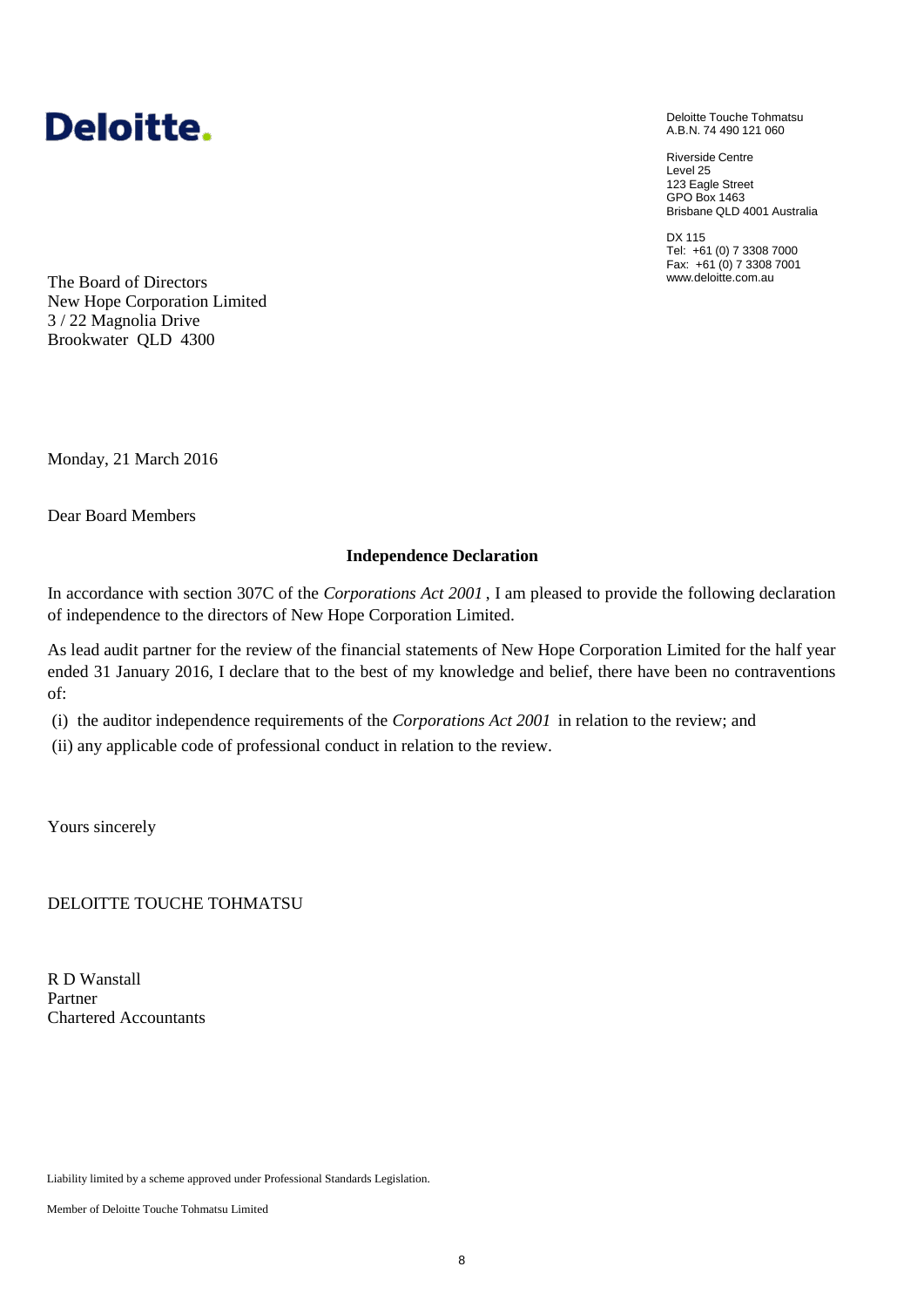

Deloitte Touche Tohmatsu A.B.N. 74 490 121 060

Riverside Centre Level 25 123 Eagle Street GPO Box 1463 Brisbane QLD 4001 Australia

DX 115 Tel: +61 (0) 7 3308 7000 Fax: +61 (0) 7 3308 7001 www.deloitte.com.au

The Board of Directors New Hope Corporation Limited 3 / 22 Magnolia Drive Brookwater QLD 4300

Monday, 21 March 2016

Dear Board Members

#### **Independence Declaration**

In accordance with section 307C of the *Corporations Act 2001* , I am pleased to provide the following declaration of independence to the directors of New Hope Corporation Limited.

As lead audit partner for the review of the financial statements of New Hope Corporation Limited for the half year ended 31 January 2016, I declare that to the best of my knowledge and belief, there have been no contraventions of:

(i) the auditor independence requirements of the *Corporations Act 2001* in relation to the review; and

(ii) any applicable code of professional conduct in relation to the review.

Yours sincerely

DELOITTE TOUCHE TOHMATSU

R D Wanstall Partner Chartered Accountants

Liability limited by a scheme approved under Professional Standards Legislation.

Member of Deloitte Touche Tohmatsu Limited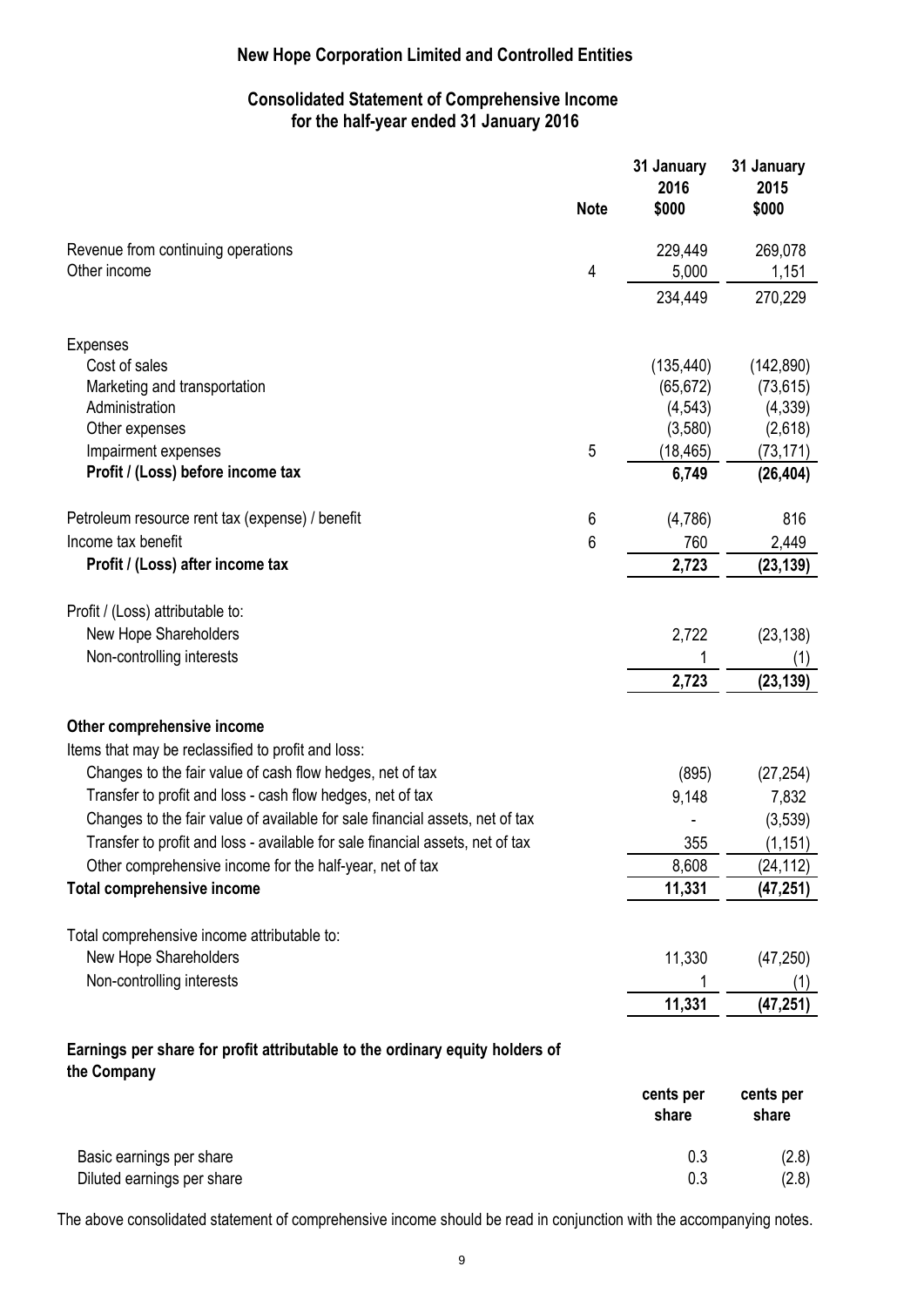### **Consolidated Statement of Comprehensive Income for the half-year ended 31 January 2016**

|                                                                                             | <b>Note</b> | 31 January<br>2016<br>\$000 | 31 January<br>2015<br>\$000 |
|---------------------------------------------------------------------------------------------|-------------|-----------------------------|-----------------------------|
| Revenue from continuing operations                                                          |             | 229,449                     | 269,078                     |
| Other income                                                                                | 4           | 5,000                       | 1,151                       |
|                                                                                             |             | 234,449                     | 270,229                     |
| <b>Expenses</b>                                                                             |             |                             |                             |
| Cost of sales                                                                               |             | (135, 440)                  | (142, 890)                  |
| Marketing and transportation                                                                |             | (65, 672)                   | (73, 615)                   |
| Administration                                                                              |             | (4, 543)                    | (4, 339)                    |
| Other expenses                                                                              |             | (3,580)                     | (2,618)                     |
| Impairment expenses                                                                         | 5           | (18, 465)                   | (73, 171)                   |
| Profit / (Loss) before income tax                                                           |             | 6,749                       | (26, 404)                   |
| Petroleum resource rent tax (expense) / benefit                                             | 6           | (4,786)                     | 816                         |
| Income tax benefit                                                                          | 6           | 760                         | 2,449                       |
| Profit / (Loss) after income tax                                                            |             | 2,723                       | (23, 139)                   |
| Profit / (Loss) attributable to:                                                            |             |                             |                             |
| New Hope Shareholders                                                                       |             | 2,722                       | (23, 138)                   |
| Non-controlling interests                                                                   |             |                             | (1)                         |
|                                                                                             |             | 2,723                       | (23, 139)                   |
| Other comprehensive income                                                                  |             |                             |                             |
| Items that may be reclassified to profit and loss:                                          |             |                             |                             |
| Changes to the fair value of cash flow hedges, net of tax                                   |             | (895)                       | (27, 254)                   |
| Transfer to profit and loss - cash flow hedges, net of tax                                  |             | 9,148                       | 7,832                       |
| Changes to the fair value of available for sale financial assets, net of tax                |             |                             | (3,539)                     |
| Transfer to profit and loss - available for sale financial assets, net of tax               |             | 355                         | (1, 151)                    |
| Other comprehensive income for the half-year, net of tax                                    |             | 8,608                       | (24, 112)                   |
| <b>Total comprehensive income</b>                                                           |             | 11,331                      | (47, 251)                   |
| Total comprehensive income attributable to:                                                 |             |                             |                             |
| New Hope Shareholders                                                                       |             | 11,330                      | (47, 250)                   |
| Non-controlling interests                                                                   |             |                             |                             |
|                                                                                             |             | 11,331                      | (47, 251)                   |
| Earnings per share for profit attributable to the ordinary equity holders of<br>the Company |             |                             |                             |
|                                                                                             |             | cents per<br>share          | cents per<br>share          |

|                            | ----- | .     |
|----------------------------|-------|-------|
| Basic earnings per share   | 0.3   | (2.8) |
| Diluted earnings per share |       | (2.8) |

The above consolidated statement of comprehensive income should be read in conjunction with the accompanying notes.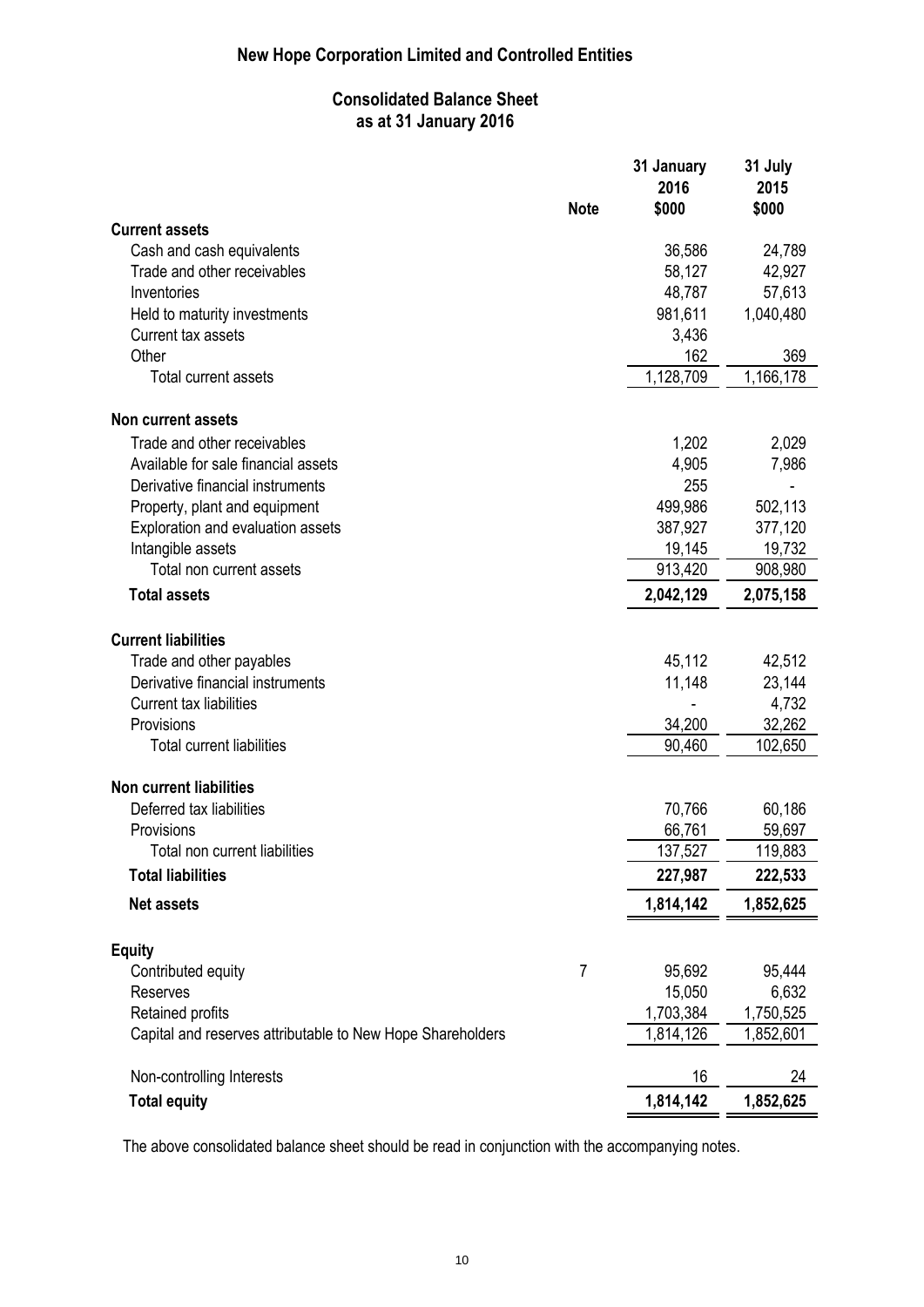### **Consolidated Balance Sheet as at 31 January 2016**

|                                                            | <b>Note</b>    | 31 January<br>2016<br>\$000 | 31 July<br>2015<br>\$000 |
|------------------------------------------------------------|----------------|-----------------------------|--------------------------|
| <b>Current assets</b>                                      |                |                             |                          |
| Cash and cash equivalents                                  |                | 36,586                      | 24,789                   |
| Trade and other receivables                                |                | 58,127                      | 42,927                   |
| Inventories                                                |                | 48,787                      | 57,613                   |
| Held to maturity investments                               |                | 981,611                     | 1,040,480                |
| Current tax assets                                         |                | 3,436                       |                          |
| Other                                                      |                | 162                         | 369                      |
| Total current assets                                       |                | 1,128,709                   | 1,166,178                |
| Non current assets                                         |                |                             |                          |
| Trade and other receivables                                |                | 1,202                       | 2,029                    |
| Available for sale financial assets                        |                | 4,905                       | 7,986                    |
| Derivative financial instruments                           |                | 255                         |                          |
| Property, plant and equipment                              |                | 499,986                     | 502,113                  |
| Exploration and evaluation assets                          |                | 387,927                     | 377,120                  |
| Intangible assets                                          |                | 19,145                      | 19,732                   |
| Total non current assets                                   |                | 913,420                     | 908,980                  |
| <b>Total assets</b>                                        |                | 2,042,129                   | 2,075,158                |
| <b>Current liabilities</b>                                 |                |                             |                          |
| Trade and other payables                                   |                | 45,112                      | 42,512                   |
| Derivative financial instruments                           |                | 11,148                      | 23,144                   |
| Current tax liabilities                                    |                |                             | 4,732                    |
| Provisions                                                 |                | 34,200                      | 32,262                   |
| <b>Total current liabilities</b>                           |                | 90,460                      | 102,650                  |
| <b>Non current liabilities</b>                             |                |                             |                          |
| Deferred tax liabilities                                   |                | 70,766                      | 60,186                   |
| Provisions                                                 |                | 66,761                      | 59,697                   |
| Total non current liabilities                              |                | 137,527                     | 119,883                  |
| <b>Total liabilities</b>                                   |                | 227,987                     | 222,533                  |
| <b>Net assets</b>                                          |                | 1,814,142                   | 1,852,625                |
| <b>Equity</b>                                              |                |                             |                          |
| Contributed equity                                         | $\overline{7}$ | 95,692                      | 95,444                   |
| <b>Reserves</b>                                            |                | 15,050                      | 6,632                    |
| Retained profits                                           |                | 1,703,384                   | 1,750,525                |
| Capital and reserves attributable to New Hope Shareholders |                | 1,814,126                   | 1,852,601                |
| Non-controlling Interests                                  |                | 16                          | 24                       |
| <b>Total equity</b>                                        |                | 1,814,142                   | 1,852,625                |

The above consolidated balance sheet should be read in conjunction with the accompanying notes.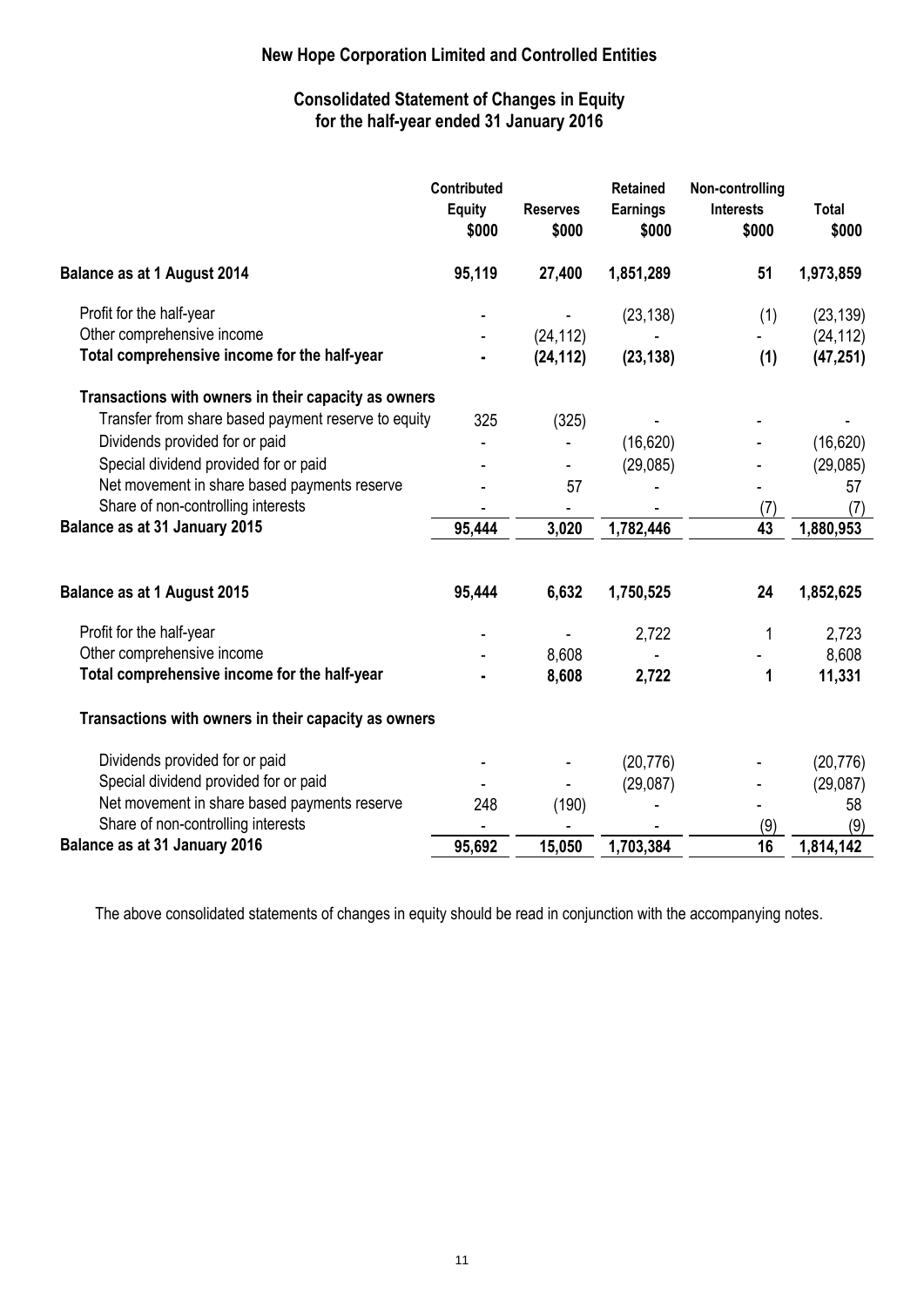### **Consolidated Statement of Changes in Equity for the half-year ended 31 January 2016**

|                                                      | Contributed<br><b>Equity</b><br>\$000 | <b>Reserves</b><br>\$000 | <b>Retained</b><br><b>Earnings</b><br>\$000 | Non-controlling<br><b>Interests</b><br>\$000 | <b>Total</b><br>\$000 |
|------------------------------------------------------|---------------------------------------|--------------------------|---------------------------------------------|----------------------------------------------|-----------------------|
| <b>Balance as at 1 August 2014</b>                   | 95,119                                | 27,400                   | 1,851,289                                   | 51                                           | 1,973,859             |
| Profit for the half-year                             |                                       |                          | (23, 138)                                   | (1)                                          | (23, 139)             |
| Other comprehensive income                           |                                       | (24, 112)                |                                             |                                              | (24, 112)             |
| Total comprehensive income for the half-year         |                                       | (24, 112)                | (23, 138)                                   | (1)                                          | (47, 251)             |
| Transactions with owners in their capacity as owners |                                       |                          |                                             |                                              |                       |
| Transfer from share based payment reserve to equity  | 325                                   | (325)                    |                                             |                                              |                       |
| Dividends provided for or paid                       |                                       |                          | (16, 620)                                   |                                              | (16, 620)             |
| Special dividend provided for or paid                |                                       |                          | (29,085)                                    |                                              | (29,085)              |
| Net movement in share based payments reserve         |                                       | 57                       |                                             |                                              | 57                    |
| Share of non-controlling interests                   |                                       | $\overline{\phantom{0}}$ |                                             | (7)                                          | (7)                   |
| Balance as at 31 January 2015                        | 95,444                                | 3,020                    | 1,782,446                                   | 43                                           | 1,880,953             |
| <b>Balance as at 1 August 2015</b>                   | 95,444                                | 6,632                    | 1,750,525                                   | 24                                           | 1,852,625             |
| Profit for the half-year                             |                                       |                          | 2,722                                       | 1                                            | 2,723                 |
| Other comprehensive income                           |                                       | 8,608                    |                                             |                                              | 8,608                 |
| Total comprehensive income for the half-year         |                                       | 8,608                    | 2,722                                       | 1                                            | 11,331                |
| Transactions with owners in their capacity as owners |                                       |                          |                                             |                                              |                       |
| Dividends provided for or paid                       |                                       |                          | (20, 776)                                   |                                              | (20, 776)             |
| Special dividend provided for or paid                |                                       |                          | (29,087)                                    |                                              | (29,087)              |
| Net movement in share based payments reserve         | 248                                   | (190)                    |                                             |                                              | 58                    |
| Share of non-controlling interests                   |                                       |                          |                                             | (9)                                          | (9)                   |
| Balance as at 31 January 2016                        | 95,692                                | 15,050                   | 1,703,384                                   | 16                                           | 1,814,142             |

The above consolidated statements of changes in equity should be read in conjunction with the accompanying notes.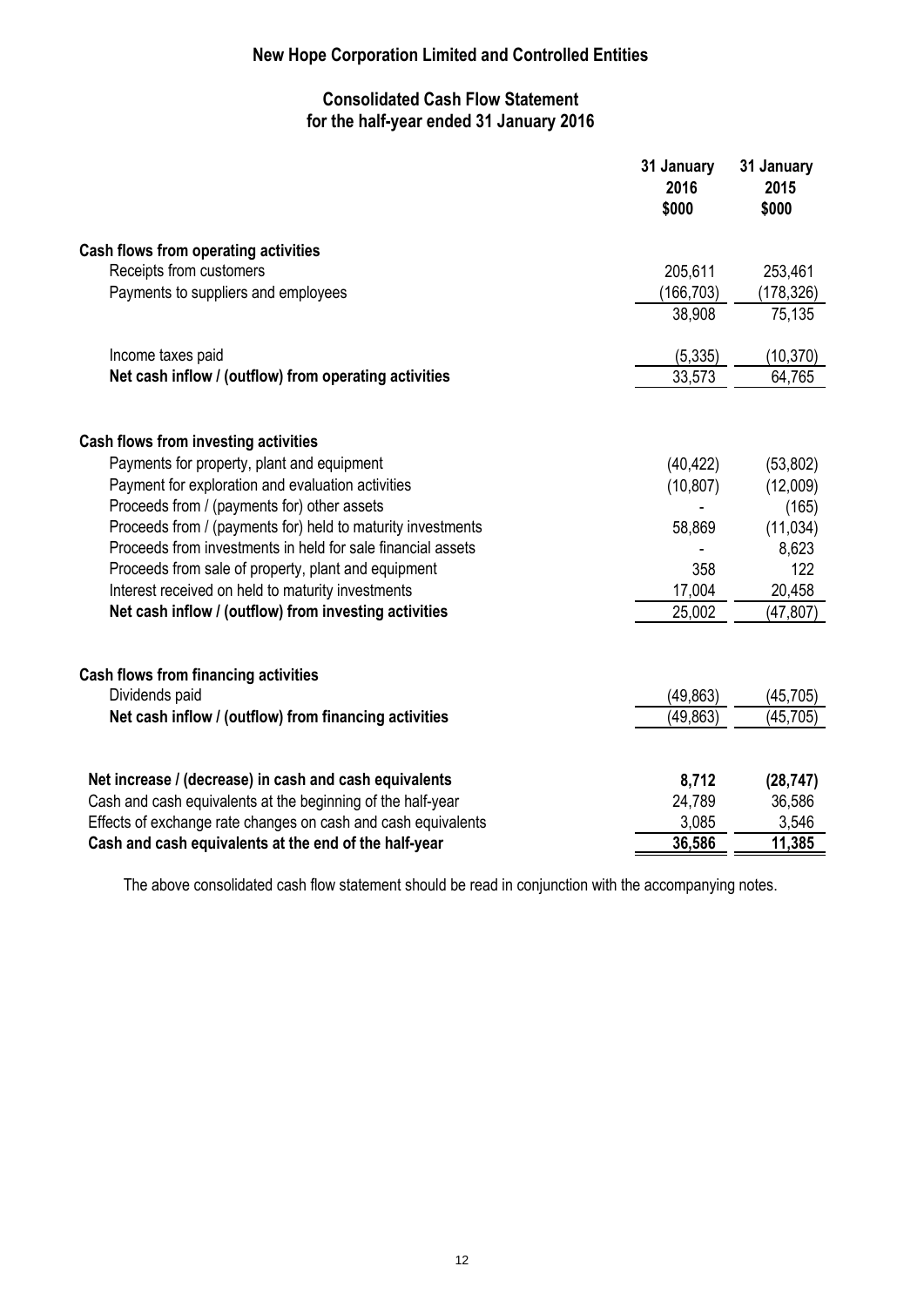### **Consolidated Cash Flow Statement for the half-year ended 31 January 2016**

|                                                               | 31 January<br>2016<br>\$000 | 31 January<br>2015<br>\$000 |
|---------------------------------------------------------------|-----------------------------|-----------------------------|
| <b>Cash flows from operating activities</b>                   |                             |                             |
| Receipts from customers                                       | 205,611                     | 253,461                     |
| Payments to suppliers and employees                           | (166, 703)                  | (178, 326)                  |
|                                                               | 38,908                      | 75,135                      |
| Income taxes paid                                             | (5, 335)                    | (10, 370)                   |
| Net cash inflow / (outflow) from operating activities         | 33,573                      | 64,765                      |
| Cash flows from investing activities                          |                             |                             |
| Payments for property, plant and equipment                    | (40, 422)                   | (53,802)                    |
| Payment for exploration and evaluation activities             | (10, 807)                   | (12,009)                    |
| Proceeds from / (payments for) other assets                   |                             | (165)                       |
| Proceeds from / (payments for) held to maturity investments   | 58,869                      | (11, 034)                   |
| Proceeds from investments in held for sale financial assets   |                             | 8,623                       |
| Proceeds from sale of property, plant and equipment           | 358                         | 122                         |
| Interest received on held to maturity investments             | 17,004                      | 20,458                      |
| Net cash inflow / (outflow) from investing activities         | 25,002                      | (47, 807)                   |
| <b>Cash flows from financing activities</b>                   |                             |                             |
| Dividends paid                                                | (49, 863)                   | (45, 705)                   |
| Net cash inflow / (outflow) from financing activities         | (49, 863)                   | (45, 705)                   |
|                                                               |                             |                             |
| Net increase / (decrease) in cash and cash equivalents        | 8,712                       | (28, 747)                   |
| Cash and cash equivalents at the beginning of the half-year   | 24,789                      | 36,586                      |
| Effects of exchange rate changes on cash and cash equivalents | 3,085                       | 3,546                       |
| Cash and cash equivalents at the end of the half-year         | 36,586                      | 11,385                      |

The above consolidated cash flow statement should be read in conjunction with the accompanying notes.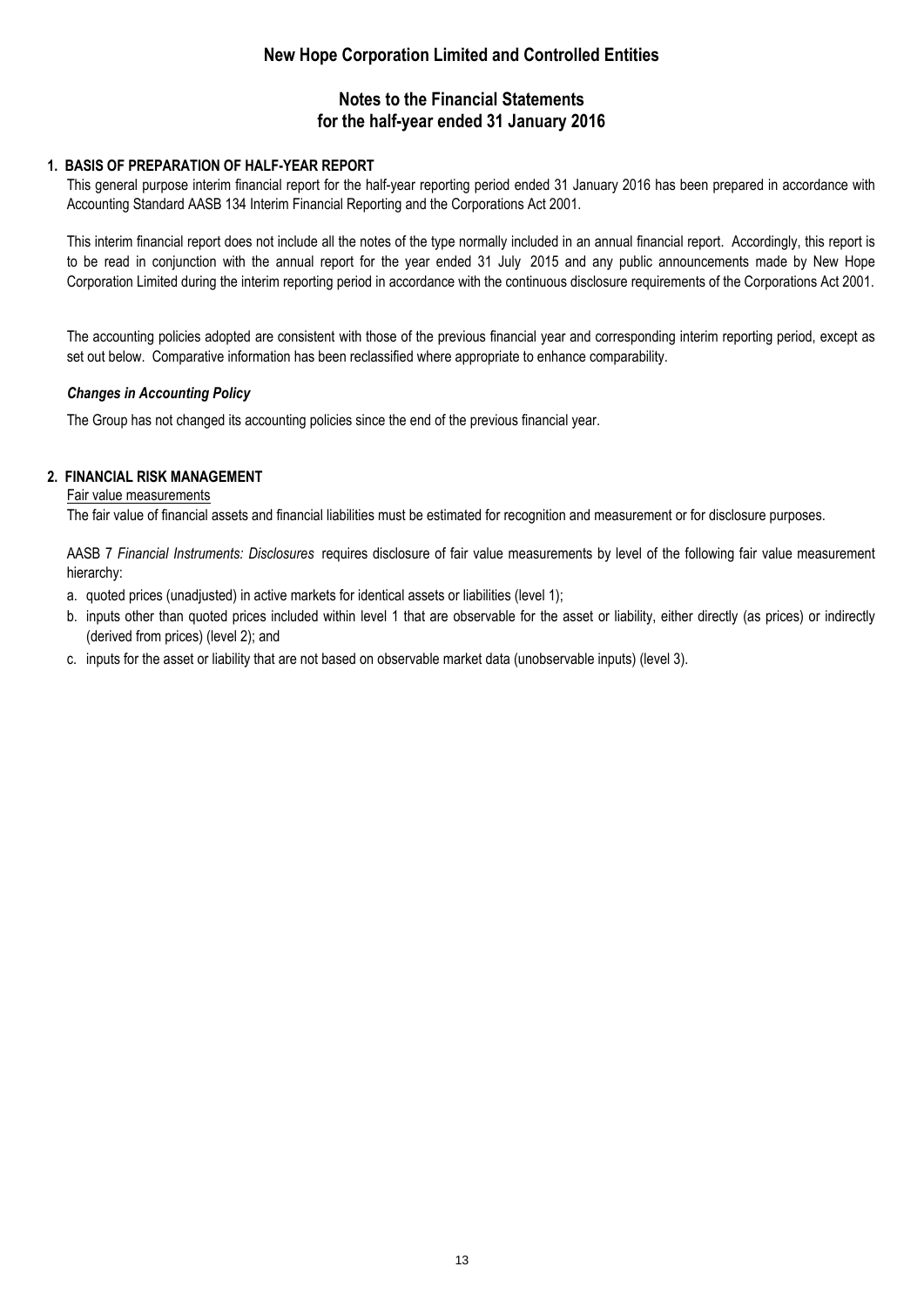### **Notes to the Financial Statements for the half-year ended 31 January 2016**

#### **1. BASIS OF PREPARATION OF HALF-YEAR REPORT**

This general purpose interim financial report for the half-year reporting period ended 31 January 2016 has been prepared in accordance with Accounting Standard AASB 134 Interim Financial Reporting and the Corporations Act 2001.

This interim financial report does not include all the notes of the type normally included in an annual financial report. Accordingly, this report is to be read in conjunction with the annual report for the year ended 31 July 2015 and any public announcements made by New Hope Corporation Limited during the interim reporting period in accordance with the continuous disclosure requirements of the Corporations Act 2001.

The accounting policies adopted are consistent with those of the previous financial year and corresponding interim reporting period, except as set out below. Comparative information has been reclassified where appropriate to enhance comparability.

### *Changes in Accounting Policy*

The Group has not changed its accounting policies since the end of the previous financial year.

### **2. FINANCIAL RISK MANAGEMENT**

#### Fair value measurements

The fair value of financial assets and financial liabilities must be estimated for recognition and measurement or for disclosure purposes.

AASB 7 *Financial Instruments: Disclosures* requires disclosure of fair value measurements by level of the following fair value measurement hierarchy:

- a. quoted prices (unadjusted) in active markets for identical assets or liabilities (level 1);
- b. inputs other than quoted prices included within level 1 that are observable for the asset or liability, either directly (as prices) or indirectly (derived from prices) (level 2); and
- c. inputs for the asset or liability that are not based on observable market data (unobservable inputs) (level 3).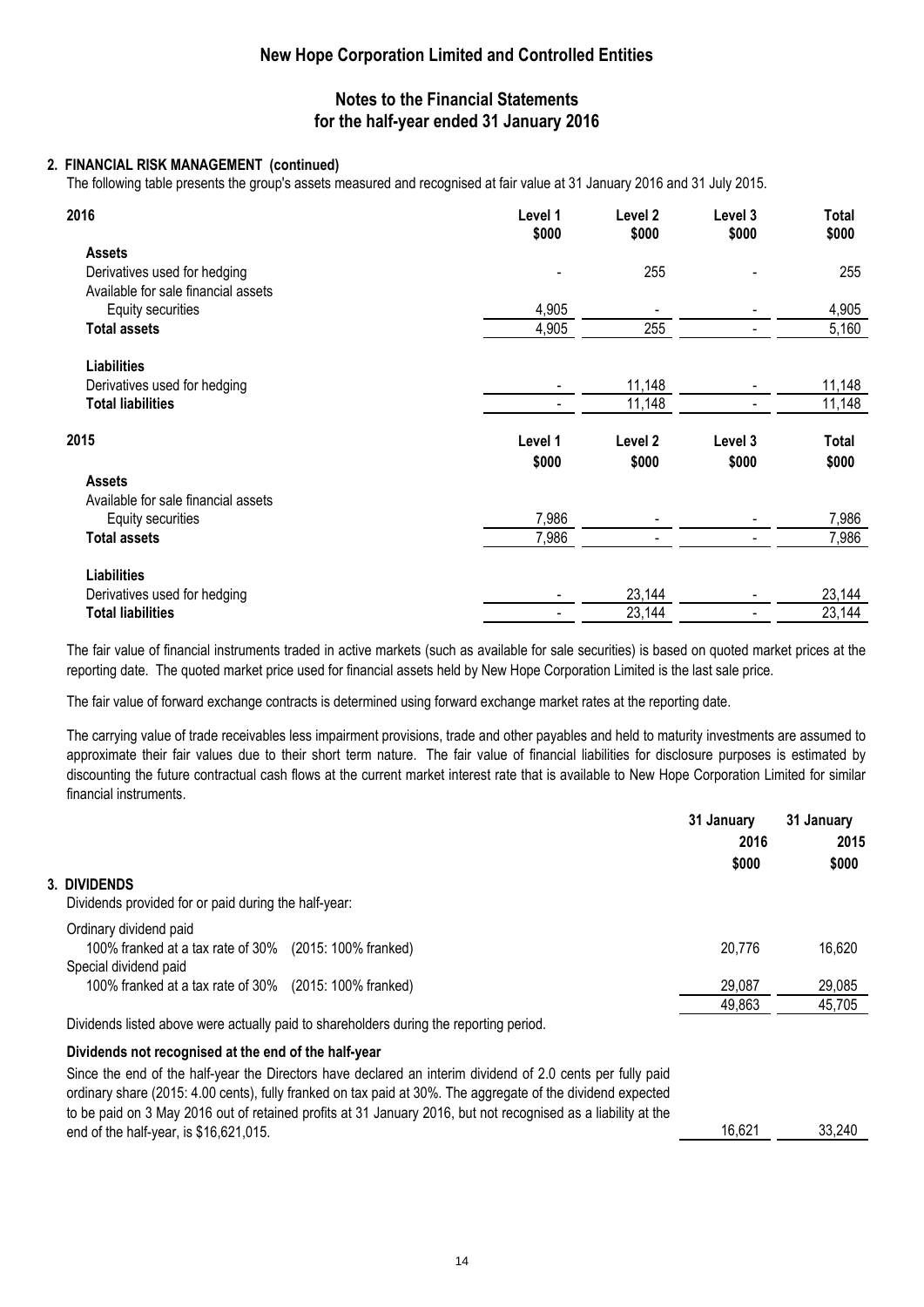### **Notes to the Financial Statements for the half-year ended 31 January 2016**

#### **2. FINANCIAL RISK MANAGEMENT (continued)**

The following table presents the group's assets measured and recognised at fair value at 31 January 2016 and 31 July 2015.

| 2016                                | Level 1<br>\$000 | Level 2<br>\$000 | Level 3<br>\$000 | Total<br>\$000 |
|-------------------------------------|------------------|------------------|------------------|----------------|
| <b>Assets</b>                       |                  |                  |                  |                |
| Derivatives used for hedging        |                  | 255              |                  | 255            |
| Available for sale financial assets |                  |                  |                  |                |
| Equity securities                   | 4,905            |                  |                  | 4,905          |
| <b>Total assets</b>                 | 4,905            | 255              |                  | 5,160          |
| <b>Liabilities</b>                  |                  |                  |                  |                |
| Derivatives used for hedging        |                  | 11,148           |                  | 11,148         |
| <b>Total liabilities</b>            |                  | 11,148           |                  | 11,148         |
| 2015                                | Level 1          | Level 2          | Level 3          | Total          |
|                                     | \$000            | \$000            | \$000            | \$000          |
| <b>Assets</b>                       |                  |                  |                  |                |
| Available for sale financial assets |                  |                  |                  |                |
| Equity securities                   | 7,986            |                  |                  | 7,986          |
| <b>Total assets</b>                 | 7,986            |                  |                  | 7,986          |
| <b>Liabilities</b>                  |                  |                  |                  |                |
| Derivatives used for hedging        |                  | 23,144           |                  | 23,144         |
| <b>Total liabilities</b>            |                  | 23,144           |                  | 23,144         |

The fair value of financial instruments traded in active markets (such as available for sale securities) is based on quoted market prices at the reporting date. The quoted market price used for financial assets held by New Hope Corporation Limited is the last sale price.

The fair value of forward exchange contracts is determined using forward exchange market rates at the reporting date.

The carrying value of trade receivables less impairment provisions, trade and other payables and held to maturity investments are assumed to approximate their fair values due to their short term nature. The fair value of financial liabilities for disclosure purposes is estimated by discounting the future contractual cash flows at the current market interest rate that is available to New Hope Corporation Limited for similar financial instruments.

|                                                                                                               | 31 January | 31 January |
|---------------------------------------------------------------------------------------------------------------|------------|------------|
|                                                                                                               | 2016       | 2015       |
|                                                                                                               | \$000      | \$000      |
| 3. Dividends                                                                                                  |            |            |
| Dividends provided for or paid during the half-year:                                                          |            |            |
| Ordinary dividend paid                                                                                        |            |            |
| 100% franked at a tax rate of 30% (2015: 100% franked)                                                        | 20,776     | 16,620     |
| Special dividend paid                                                                                         |            |            |
| 100% franked at a tax rate of 30% (2015: 100% franked)                                                        | 29,087     | 29,085     |
|                                                                                                               | 49,863     | 45,705     |
| Dividends listed above were actually paid to shareholders during the reporting period.                        |            |            |
| Dividends not recognised at the end of the half-year                                                          |            |            |
| Since the end of the half-year the Directors have declared an interim dividend of 2.0 cents per fully paid    |            |            |
| ordinary share (2015: 4.00 cents), fully franked on tax paid at 30%. The aggregate of the dividend expected   |            |            |
| to be paid on 3 May 2016 out of retained profits at 31 January 2016, but not recognised as a liability at the |            |            |

end of the half-year, is \$16,621,015.

16,621 33,240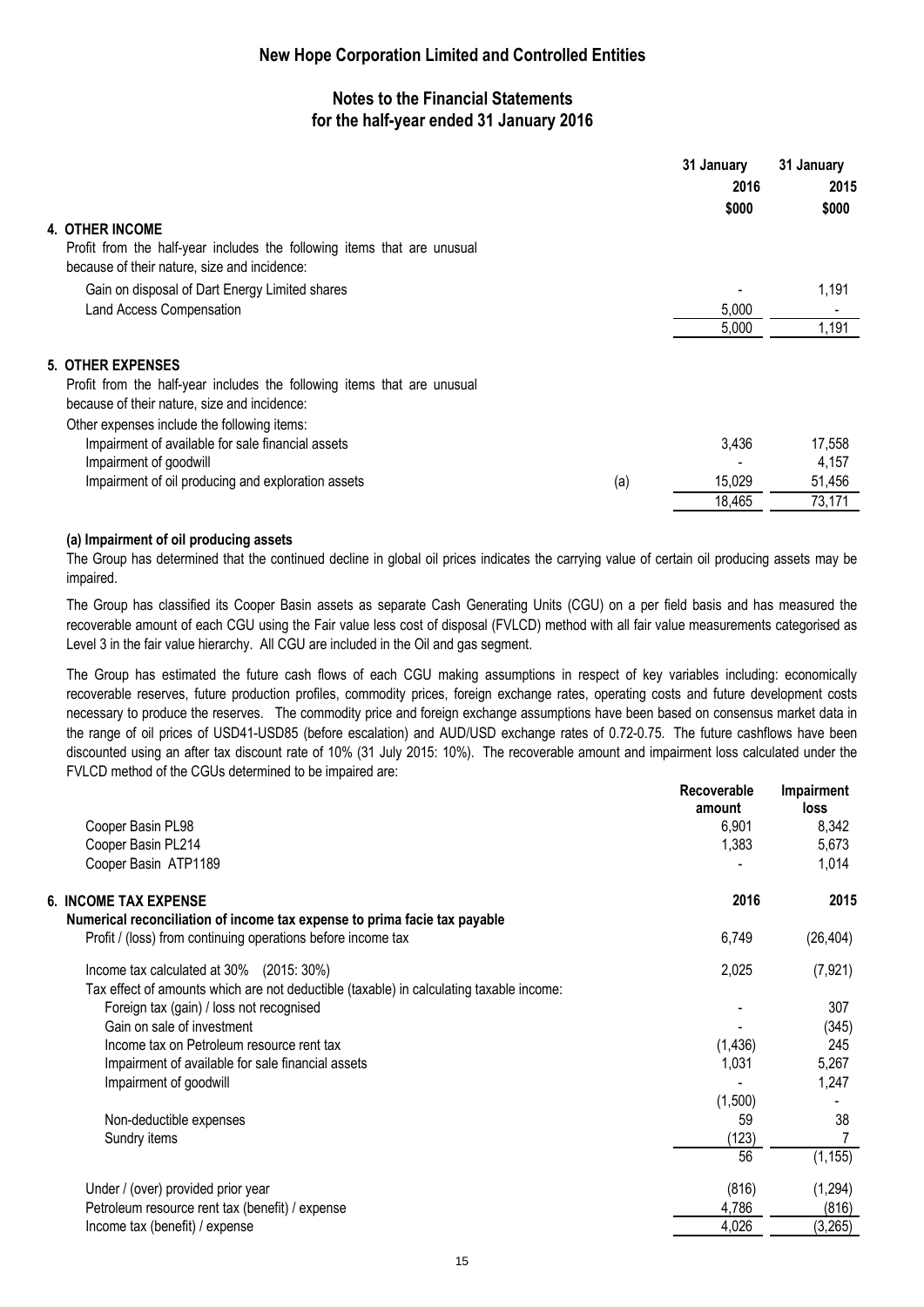### **Notes to the Financial Statements for the half-year ended 31 January 2016**

|                                                                                                                                                     |     | 31 January | 31 January      |
|-----------------------------------------------------------------------------------------------------------------------------------------------------|-----|------------|-----------------|
|                                                                                                                                                     |     | 2016       | 2015            |
|                                                                                                                                                     |     | \$000      | \$000           |
| <b>4. OTHER INCOME</b>                                                                                                                              |     |            |                 |
| Profit from the half-year includes the following items that are unusual<br>because of their nature, size and incidence:                             |     |            |                 |
| Gain on disposal of Dart Energy Limited shares                                                                                                      |     |            | 1,191           |
| Land Access Compensation                                                                                                                            |     | 5.000      |                 |
|                                                                                                                                                     |     | 5,000      | 1,191           |
| <b>5. OTHER EXPENSES</b><br>Profit from the half-year includes the following items that are unusual<br>because of their nature, size and incidence: |     |            |                 |
| Other expenses include the following items:<br>Impairment of available for sale financial assets<br>Impairment of goodwill                          |     | 3,436      | 17,558<br>4.157 |
| Impairment of oil producing and exploration assets                                                                                                  | (a) | 15,029     | 51,456          |
|                                                                                                                                                     |     | 18,465     | 73,171          |

#### **(a) Impairment of oil producing assets**

The Group has determined that the continued decline in global oil prices indicates the carrying value of certain oil producing assets may be impaired.

The Group has classified its Cooper Basin assets as separate Cash Generating Units (CGU) on a per field basis and has measured the recoverable amount of each CGU using the Fair value less cost of disposal (FVLCD) method with all fair value measurements categorised as Level 3 in the fair value hierarchy. All CGU are included in the Oil and gas segment.

The Group has estimated the future cash flows of each CGU making assumptions in respect of key variables including: economically recoverable reserves, future production profiles, commodity prices, foreign exchange rates, operating costs and future development costs necessary to produce the reserves. The commodity price and foreign exchange assumptions have been based on consensus market data in the range of oil prices of USD41-USD85 (before escalation) and AUD/USD exchange rates of 0.72-0.75. The future cashflows have been discounted using an after tax discount rate of 10% (31 July 2015: 10%). The recoverable amount and impairment loss calculated under the FVLCD method of the CGUs determined to be impaired are:

|  |                                                                                         | <b>Recoverable</b><br>amount | Impairment<br>loss |
|--|-----------------------------------------------------------------------------------------|------------------------------|--------------------|
|  | Cooper Basin PL98                                                                       | 6,901                        | 8,342              |
|  | Cooper Basin PL214                                                                      | 1,383                        | 5,673              |
|  | Cooper Basin ATP1189                                                                    |                              | 1,014              |
|  | <b>6. INCOME TAX EXPENSE</b>                                                            | 2016                         | 2015               |
|  | Numerical reconciliation of income tax expense to prima facie tax payable               |                              |                    |
|  | Profit / (loss) from continuing operations before income tax                            | 6,749                        | (26, 404)          |
|  | Income tax calculated at 30% (2015: 30%)                                                | 2,025                        | (7, 921)           |
|  | Tax effect of amounts which are not deductible (taxable) in calculating taxable income: |                              |                    |
|  | Foreign tax (gain) / loss not recognised                                                |                              | 307                |
|  | Gain on sale of investment                                                              |                              | (345)              |
|  | Income tax on Petroleum resource rent tax                                               | (1, 436)                     | 245                |
|  | Impairment of available for sale financial assets                                       | 1,031                        | 5,267              |
|  | Impairment of goodwill                                                                  |                              | 1,247              |
|  |                                                                                         | (1,500)                      |                    |
|  | Non-deductible expenses                                                                 | 59                           | 38                 |
|  | Sundry items                                                                            | (123)                        |                    |
|  |                                                                                         | 56                           | (1, 155)           |
|  | Under / (over) provided prior year                                                      | (816)                        | (1, 294)           |
|  | Petroleum resource rent tax (benefit) / expense                                         | 4,786                        | (816)              |
|  | Income tax (benefit) / expense                                                          | 4,026                        | (3,265)            |
|  |                                                                                         |                              |                    |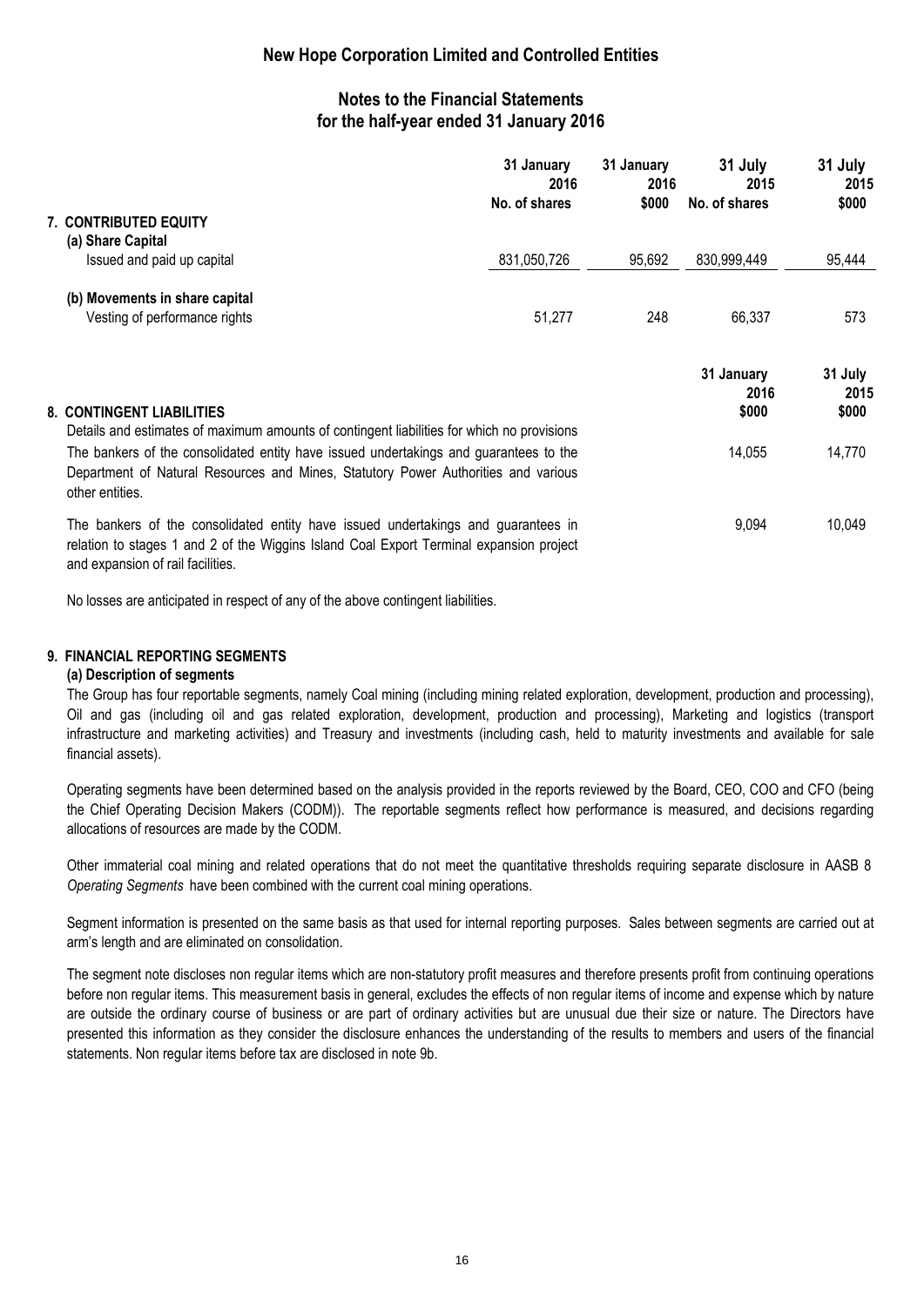### **Notes to the Financial Statements for the half-year ended 31 January 2016**

|  |                                                                                                                                                                                                                   | 31 January<br>2016<br>No. of shares | 31 January<br>2016<br>\$000 | 31 July<br>2015<br>No. of shares | 31 July<br>2015<br>\$000 |
|--|-------------------------------------------------------------------------------------------------------------------------------------------------------------------------------------------------------------------|-------------------------------------|-----------------------------|----------------------------------|--------------------------|
|  | <b>7. CONTRIBUTED EQUITY</b><br>(a) Share Capital                                                                                                                                                                 |                                     |                             |                                  |                          |
|  | Issued and paid up capital                                                                                                                                                                                        | 831,050,726                         | 95,692                      | 830,999,449                      | 95,444                   |
|  | (b) Movements in share capital                                                                                                                                                                                    |                                     |                             |                                  |                          |
|  | Vesting of performance rights                                                                                                                                                                                     | 51,277                              | 248                         | 66,337                           | 573                      |
|  |                                                                                                                                                                                                                   |                                     |                             | 31 January<br>2016               | 31 July<br>2015          |
|  | 8. CONTINGENT LIABILITIES<br>Details and estimates of maximum amounts of contingent liabilities for which no provisions                                                                                           |                                     |                             | \$000                            | \$000                    |
|  | The bankers of the consolidated entity have issued undertakings and guarantees to the<br>Department of Natural Resources and Mines, Statutory Power Authorities and various<br>other entities.                    |                                     |                             | 14,055                           | 14,770                   |
|  | The bankers of the consolidated entity have issued undertakings and guarantees in<br>relation to stages 1 and 2 of the Wiggins Island Coal Export Terminal expansion project<br>and expansion of rail facilities. |                                     |                             | 9,094                            | 10,049                   |

No losses are anticipated in respect of any of the above contingent liabilities.

#### **9. FINANCIAL REPORTING SEGMENTS**

#### **(a) Description of segments**

The Group has four reportable segments, namely Coal mining (including mining related exploration, development, production and processing), Oil and gas (including oil and gas related exploration, development, production and processing), Marketing and logistics (transport infrastructure and marketing activities) and Treasury and investments (including cash, held to maturity investments and available for sale financial assets).

Operating segments have been determined based on the analysis provided in the reports reviewed by the Board, CEO, COO and CFO (being the Chief Operating Decision Makers (CODM)). The reportable segments reflect how performance is measured, and decisions regarding allocations of resources are made by the CODM.

Other immaterial coal mining and related operations that do not meet the quantitative thresholds requiring separate disclosure in AASB 8 *Operating Segments* have been combined with the current coal mining operations.

Segment information is presented on the same basis as that used for internal reporting purposes. Sales between segments are carried out at arm's length and are eliminated on consolidation.

The segment note discloses non regular items which are non-statutory profit measures and therefore presents profit from continuing operations before non regular items. This measurement basis in general, excludes the effects of non regular items of income and expense which by nature are outside the ordinary course of business or are part of ordinary activities but are unusual due their size or nature. The Directors have presented this information as they consider the disclosure enhances the understanding of the results to members and users of the financial statements. Non regular items before tax are disclosed in note 9b.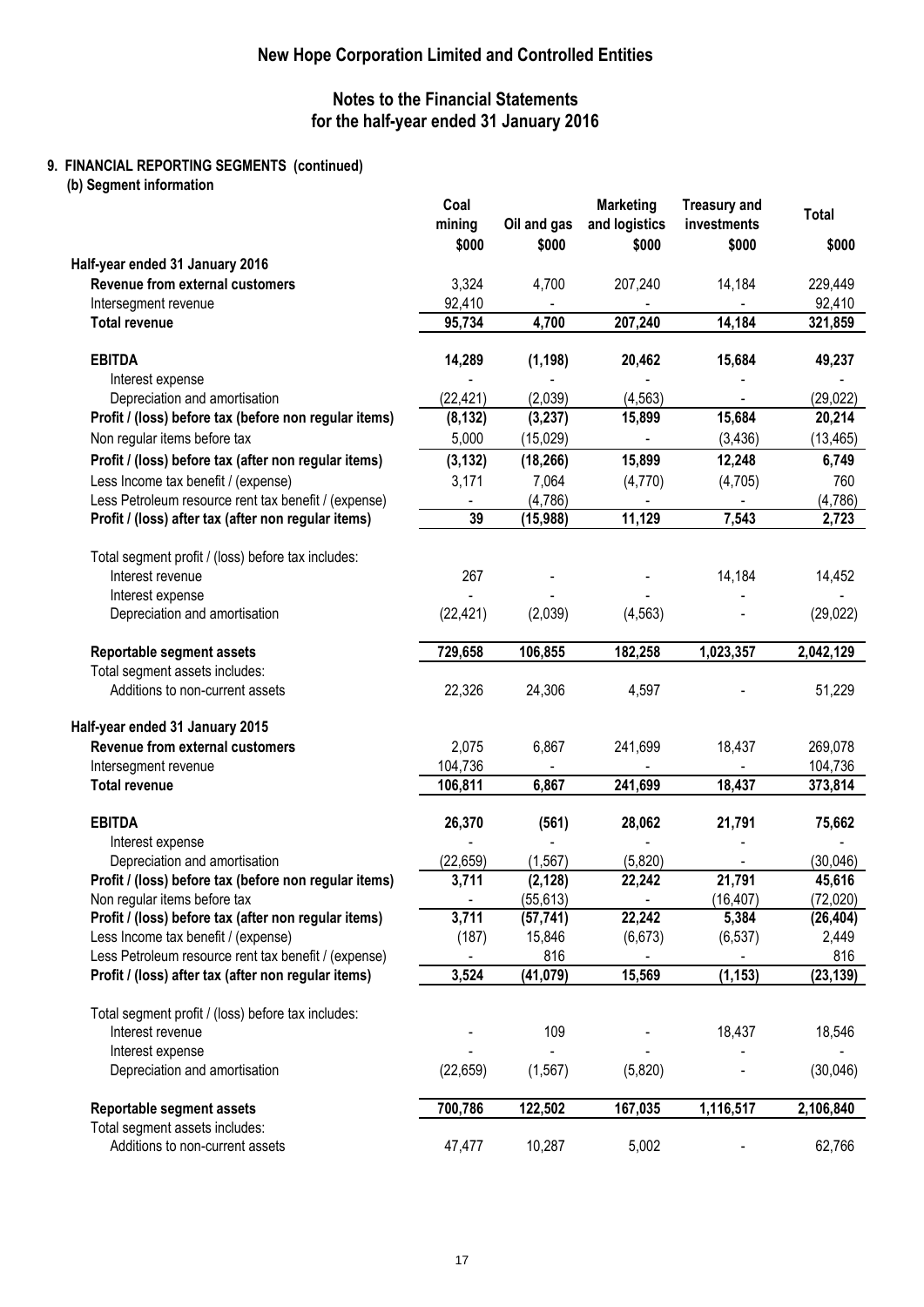### **Notes to the Financial Statements for the half-year ended 31 January 2016**

### **9. FINANCIAL REPORTING SEGMENTS (continued)**

**(b) Segment information**

|                                                       | Coal<br>mining | Oil and gas | <b>Marketing</b><br>and logistics | <b>Treasury and</b><br>investments | <b>Total</b> |
|-------------------------------------------------------|----------------|-------------|-----------------------------------|------------------------------------|--------------|
|                                                       | \$000          | \$000       | \$000                             | \$000                              | \$000        |
| Half-year ended 31 January 2016                       |                |             |                                   |                                    |              |
| Revenue from external customers                       | 3,324          | 4,700       | 207,240                           | 14,184                             | 229,449      |
| Intersegment revenue                                  | 92,410         |             |                                   |                                    | 92,410       |
| <b>Total revenue</b>                                  | 95,734         | 4,700       | 207,240                           | 14,184                             | 321,859      |
|                                                       |                |             |                                   |                                    |              |
| <b>EBITDA</b>                                         | 14,289         | (1, 198)    | 20,462                            | 15,684                             | 49,237       |
| Interest expense                                      |                |             |                                   |                                    |              |
| Depreciation and amortisation                         | (22, 421)      | (2,039)     | (4, 563)                          |                                    | (29, 022)    |
| Profit / (loss) before tax (before non regular items) | (8, 132)       | (3, 237)    | 15,899                            | 15,684                             | 20,214       |
| Non regular items before tax                          | 5,000          | (15,029)    |                                   | (3, 436)                           | (13, 465)    |
| Profit / (loss) before tax (after non regular items)  | (3, 132)       | (18, 266)   | 15,899                            | 12,248                             | 6,749        |
| Less Income tax benefit / (expense)                   | 3,171          | 7,064       | (4,770)                           | (4,705)                            | 760          |
| Less Petroleum resource rent tax benefit / (expense)  | $\blacksquare$ | (4,786)     |                                   |                                    | (4,786)      |
| Profit / (loss) after tax (after non regular items)   | 39             | (15,988)    | 11,129                            | 7,543                              | 2,723        |
| Total segment profit / (loss) before tax includes:    |                |             |                                   |                                    |              |
| Interest revenue                                      | 267            |             |                                   | 14,184                             | 14,452       |
| Interest expense                                      |                |             |                                   |                                    |              |
| Depreciation and amortisation                         | (22, 421)      | (2,039)     | (4, 563)                          |                                    | (29, 022)    |
| Reportable segment assets                             | 729,658        | 106,855     | 182,258                           | 1,023,357                          | 2,042,129    |
| Total segment assets includes:                        |                |             |                                   |                                    |              |
| Additions to non-current assets                       | 22,326         | 24,306      | 4,597                             |                                    | 51,229       |
| Half-year ended 31 January 2015                       |                |             |                                   |                                    |              |
| Revenue from external customers                       | 2,075          | 6,867       | 241,699                           | 18,437                             | 269,078      |
| Intersegment revenue                                  | 104,736        |             |                                   |                                    | 104,736      |
| <b>Total revenue</b>                                  | 106,811        | 6,867       | 241,699                           | 18,437                             | 373,814      |
| <b>EBITDA</b>                                         | 26,370         | (561)       | 28,062                            | 21,791                             | 75,662       |
| Interest expense                                      |                |             |                                   |                                    |              |
| Depreciation and amortisation                         | (22, 659)      | (1, 567)    | (5,820)                           |                                    | (30,046)     |
| Profit / (loss) before tax (before non regular items) | 3,711          | (2, 128)    | 22,242                            | 21,791                             | 45,616       |
| Non regular items before tax                          | ٠              | (55,613)    | ۰.                                | (16,407)                           | (72,020)     |
| Profit / (loss) before tax (after non regular items)  | 3,711          | (57, 741)   | 22,242                            | 5,384                              | (26, 404)    |
| Less Income tax benefit / (expense)                   | (187)          | 15,846      | (6, 673)                          | (6, 537)                           | 2,449        |
| Less Petroleum resource rent tax benefit / (expense)  |                | 816         |                                   |                                    | 816          |
| Profit / (loss) after tax (after non regular items)   | 3,524          | (41, 079)   | 15,569                            | (1, 153)                           | (23, 139)    |
| Total segment profit / (loss) before tax includes:    |                |             |                                   |                                    |              |
| Interest revenue                                      |                | 109         |                                   | 18,437                             | 18,546       |
| Interest expense                                      |                |             |                                   |                                    |              |
| Depreciation and amortisation                         | (22, 659)      | (1, 567)    | (5,820)                           |                                    | (30,046)     |
| Reportable segment assets                             | 700,786        | 122,502     | 167,035                           | 1,116,517                          | 2,106,840    |
| Total segment assets includes:                        |                |             |                                   |                                    |              |
| Additions to non-current assets                       | 47,477         | 10,287      | 5,002                             |                                    | 62,766       |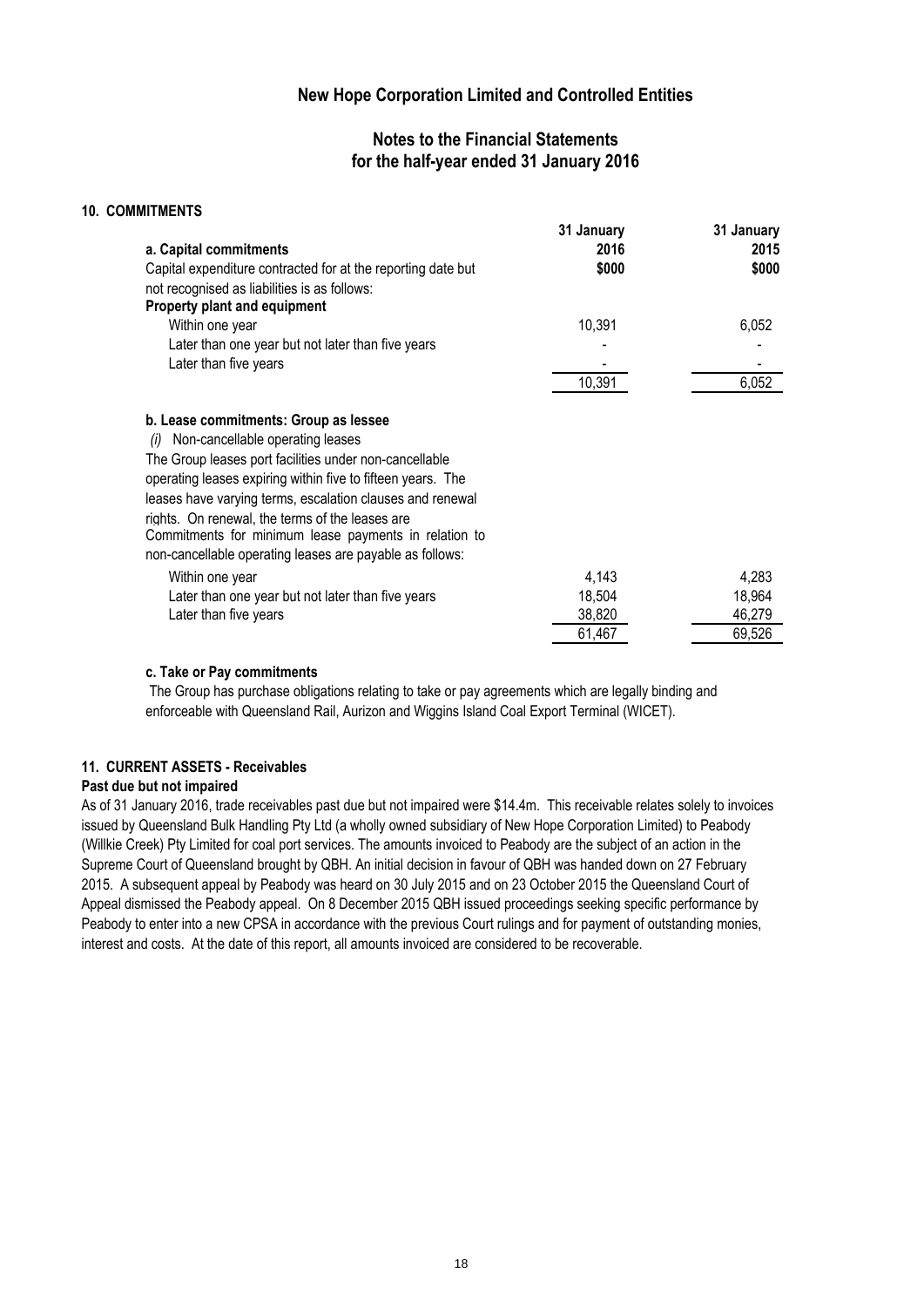### **Notes to the Financial Statements for the half-year ended 31 January 2016**

| <b>10. COMMITMENTS</b>                                                                                                                                                                                                                                                                                                                                                             |                    |                    |
|------------------------------------------------------------------------------------------------------------------------------------------------------------------------------------------------------------------------------------------------------------------------------------------------------------------------------------------------------------------------------------|--------------------|--------------------|
| a. Capital commitments                                                                                                                                                                                                                                                                                                                                                             | 31 January<br>2016 | 31 January<br>2015 |
| Capital expenditure contracted for at the reporting date but<br>not recognised as liabilities is as follows:                                                                                                                                                                                                                                                                       | \$000              | \$000              |
| Property plant and equipment                                                                                                                                                                                                                                                                                                                                                       |                    |                    |
| Within one year                                                                                                                                                                                                                                                                                                                                                                    | 10,391             | 6,052              |
| Later than one year but not later than five years                                                                                                                                                                                                                                                                                                                                  |                    |                    |
| Later than five years                                                                                                                                                                                                                                                                                                                                                              |                    |                    |
|                                                                                                                                                                                                                                                                                                                                                                                    | 10,391             | 6,052              |
| b. Lease commitments: Group as lessee<br>Non-cancellable operating leases<br>(i)<br>The Group leases port facilities under non-cancellable<br>operating leases expiring within five to fifteen years. The<br>leases have varying terms, escalation clauses and renewal<br>rights. On renewal, the terms of the leases are<br>Commitments for minimum lease payments in relation to |                    |                    |
| non-cancellable operating leases are payable as follows:                                                                                                                                                                                                                                                                                                                           |                    |                    |
| Within one year                                                                                                                                                                                                                                                                                                                                                                    | 4,143              | 4,283              |
| Later than one year but not later than five years                                                                                                                                                                                                                                                                                                                                  | 18,504             | 18,964             |
| Later than five years                                                                                                                                                                                                                                                                                                                                                              | 38,820             | 46,279             |
|                                                                                                                                                                                                                                                                                                                                                                                    | 61,467             | 69,526             |

#### **c. Take or Pay commitments**

 The Group has purchase obligations relating to take or pay agreements which are legally binding and enforceable with Queensland Rail, Aurizon and Wiggins Island Coal Export Terminal (WICET).

#### **11. CURRENT ASSETS - Receivables**

#### **Past due but not impaired**

As of 31 January 2016, trade receivables past due but not impaired were \$14.4m. This receivable relates solely to invoices issued by Queensland Bulk Handling Pty Ltd (a wholly owned subsidiary of New Hope Corporation Limited) to Peabody (Willkie Creek) Pty Limited for coal port services. The amounts invoiced to Peabody are the subject of an action in the Supreme Court of Queensland brought by QBH. An initial decision in favour of QBH was handed down on 27 February 2015. A subsequent appeal by Peabody was heard on 30 July 2015 and on 23 October 2015 the Queensland Court of Appeal dismissed the Peabody appeal. On 8 December 2015 QBH issued proceedings seeking specific performance by Peabody to enter into a new CPSA in accordance with the previous Court rulings and for payment of outstanding monies, interest and costs. At the date of this report, all amounts invoiced are considered to be recoverable.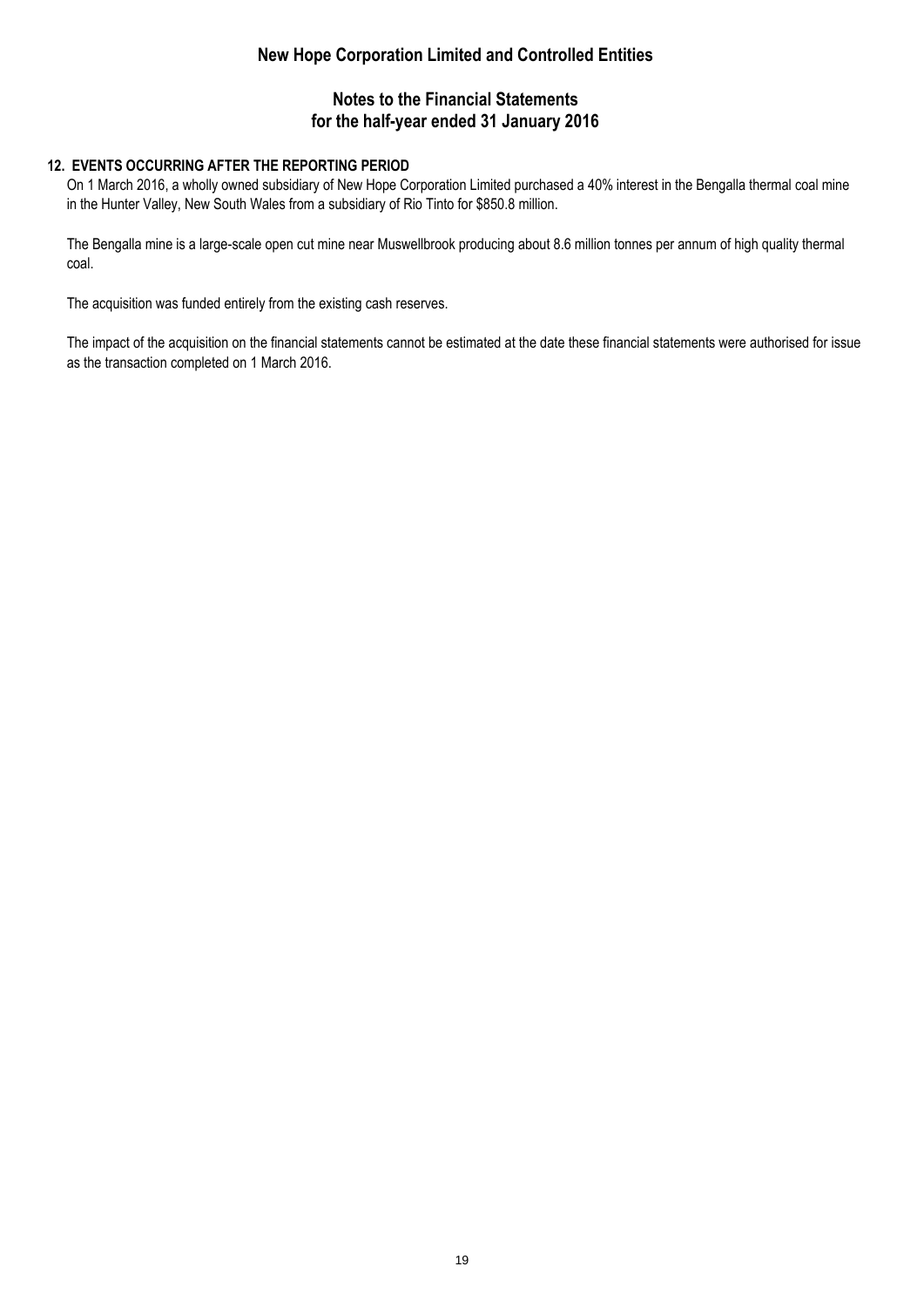### **Notes to the Financial Statements for the half-year ended 31 January 2016**

### **12. EVENTS OCCURRING AFTER THE REPORTING PERIOD**

On 1 March 2016, a wholly owned subsidiary of New Hope Corporation Limited purchased a 40% interest in the Bengalla thermal coal mine in the Hunter Valley, New South Wales from a subsidiary of Rio Tinto for \$850.8 million.

The Bengalla mine is a large-scale open cut mine near Muswellbrook producing about 8.6 million tonnes per annum of high quality thermal coal.

The acquisition was funded entirely from the existing cash reserves.

The impact of the acquisition on the financial statements cannot be estimated at the date these financial statements were authorised for issue as the transaction completed on 1 March 2016.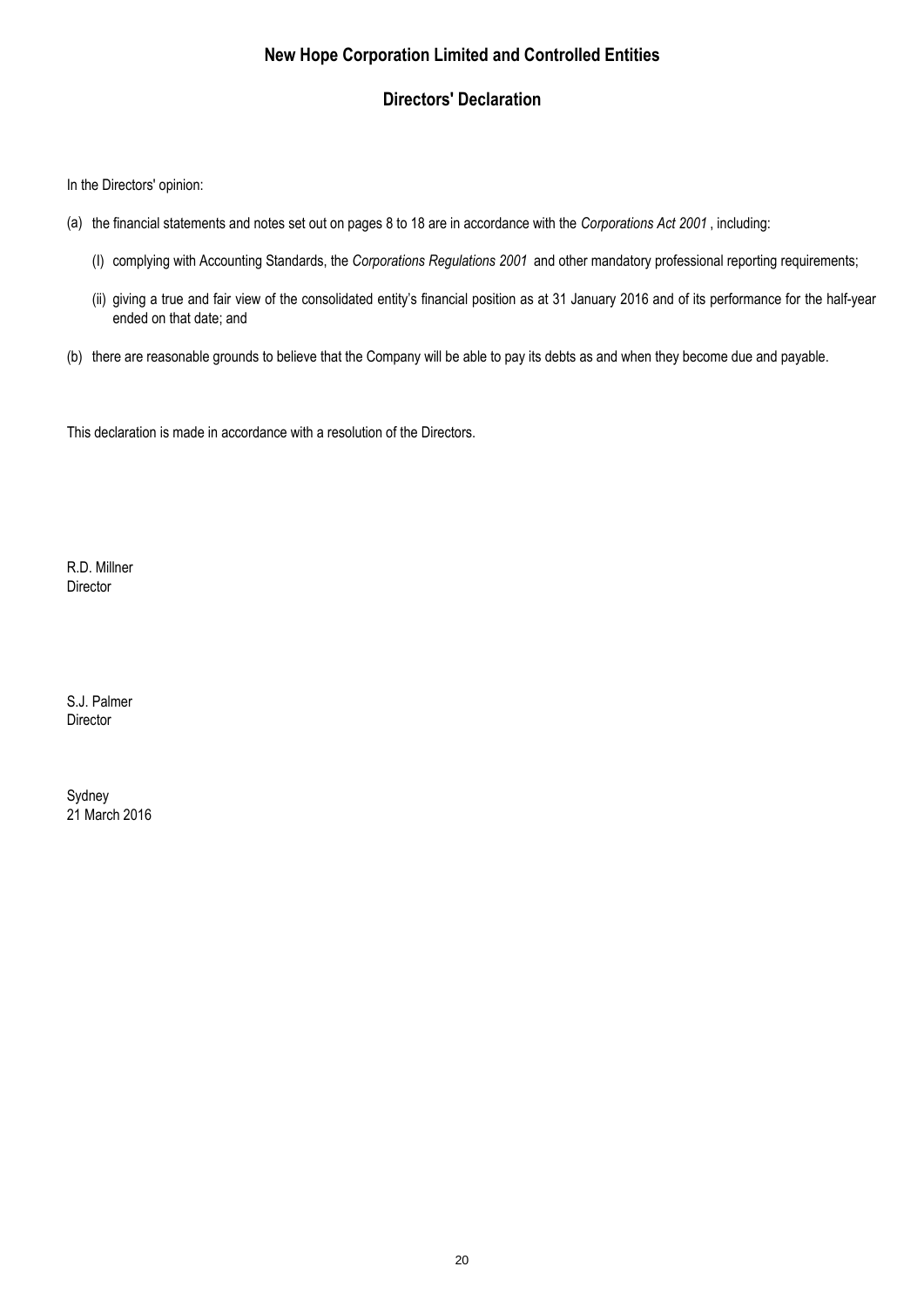### **Directors' Declaration**

In the Directors' opinion:

- (a) the financial statements and notes set out on pages 8 to 18 are in accordance with the *Corporations Act 2001* , including:
	- (I) complying with Accounting Standards, the *Corporations Regulations 2001* and other mandatory professional reporting requirements;
	- (ii) giving a true and fair view of the consolidated entity's financial position as at 31 January 2016 and of its performance for the half-year ended on that date; and
- (b) there are reasonable grounds to believe that the Company will be able to pay its debts as and when they become due and payable.

This declaration is made in accordance with a resolution of the Directors.

R.D. Millner Director

S.J. Palmer **Director** 

21 March 2016 Sydney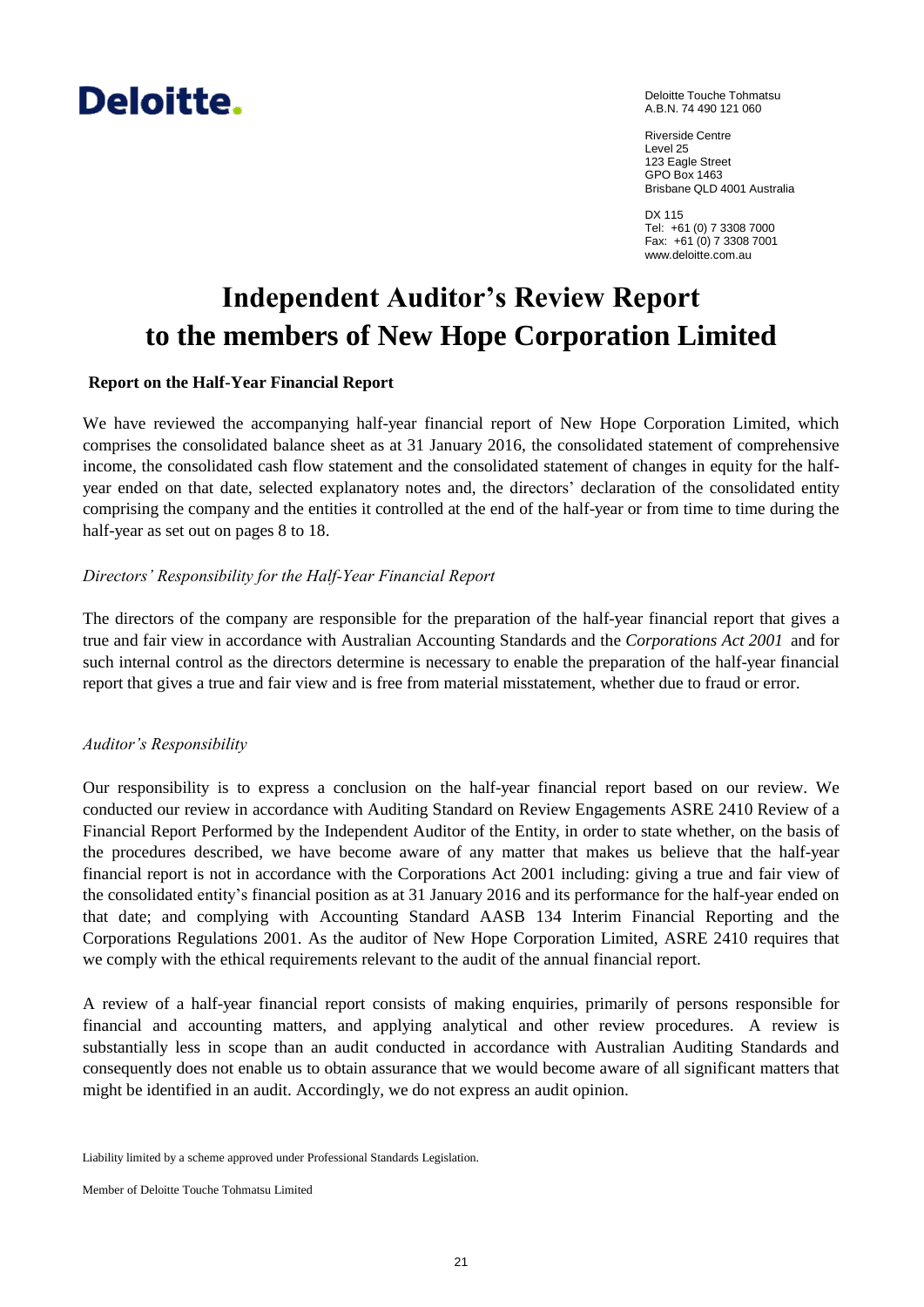# Deloitte.

Deloitte Touche Tohmatsu A.B.N. 74 490 121 060

Riverside Centre Level 25 123 Eagle Street GPO Box 1463 Brisbane QLD 4001 Australia

DX 115 Tel: +61 (0) 7 3308 7000 Fax: +61 (0) 7 3308 7001 www.deloitte.com.au

# **Independent Auditor's Review Report to the members of New Hope Corporation Limited**

### **Report on the Half-Year Financial Report**

We have reviewed the accompanying half-year financial report of New Hope Corporation Limited, which comprises the consolidated balance sheet as at 31 January 2016, the consolidated statement of comprehensive income, the consolidated cash flow statement and the consolidated statement of changes in equity for the halfyear ended on that date, selected explanatory notes and, the directors' declaration of the consolidated entity comprising the company and the entities it controlled at the end of the half-year or from time to time during the half-year as set out on pages 8 to 18.

#### *Directors' Responsibility for the Half-Year Financial Report*

The directors of the company are responsible for the preparation of the half-year financial report that gives a true and fair view in accordance with Australian Accounting Standards and the *Corporations Act 2001* and for such internal control as the directors determine is necessary to enable the preparation of the half-year financial report that gives a true and fair view and is free from material misstatement, whether due to fraud or error.

#### *Auditor's Responsibility*

Our responsibility is to express a conclusion on the half-year financial report based on our review. We conducted our review in accordance with Auditing Standard on Review Engagements ASRE 2410 Review of a Financial Report Performed by the Independent Auditor of the Entity, in order to state whether, on the basis of the procedures described, we have become aware of any matter that makes us believe that the half-year financial report is not in accordance with the Corporations Act 2001 including: giving a true and fair view of the consolidated entity's financial position as at 31 January 2016 and its performance for the half-year ended on that date; and complying with Accounting Standard AASB 134 Interim Financial Reporting and the Corporations Regulations 2001. As the auditor of New Hope Corporation Limited, ASRE 2410 requires that we comply with the ethical requirements relevant to the audit of the annual financial report.

A review of a half-year financial report consists of making enquiries, primarily of persons responsible for financial and accounting matters, and applying analytical and other review procedures. A review is substantially less in scope than an audit conducted in accordance with Australian Auditing Standards and consequently does not enable us to obtain assurance that we would become aware of all significant matters that might be identified in an audit. Accordingly, we do not express an audit opinion.

Liability limited by a scheme approved under Professional Standards Legislation.

Member of Deloitte Touche Tohmatsu Limited